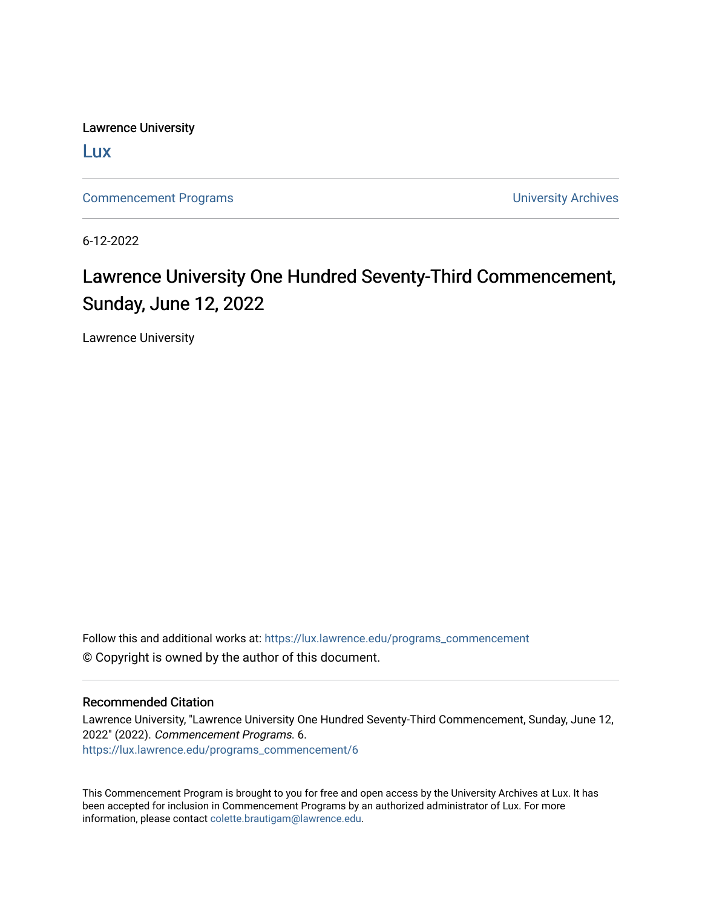Lawrence University

[Lux](https://lux.lawrence.edu/)

[Commencement Programs](https://lux.lawrence.edu/programs_commencement) **Commencement Programs University Archives** 

6-12-2022

## Lawrence University One Hundred Seventy-Third Commencement, Sunday, June 12, 2022

Lawrence University

Follow this and additional works at: [https://lux.lawrence.edu/programs\\_commencement](https://lux.lawrence.edu/programs_commencement?utm_source=lux.lawrence.edu%2Fprograms_commencement%2F6&utm_medium=PDF&utm_campaign=PDFCoverPages)  © Copyright is owned by the author of this document.

#### Recommended Citation

Lawrence University, "Lawrence University One Hundred Seventy-Third Commencement, Sunday, June 12, 2022" (2022). Commencement Programs. 6. [https://lux.lawrence.edu/programs\\_commencement/6](https://lux.lawrence.edu/programs_commencement/6?utm_source=lux.lawrence.edu%2Fprograms_commencement%2F6&utm_medium=PDF&utm_campaign=PDFCoverPages) 

This Commencement Program is brought to you for free and open access by the University Archives at Lux. It has been accepted for inclusion in Commencement Programs by an authorized administrator of Lux. For more information, please contact [colette.brautigam@lawrence.edu](mailto:colette.brautigam@lawrence.edu).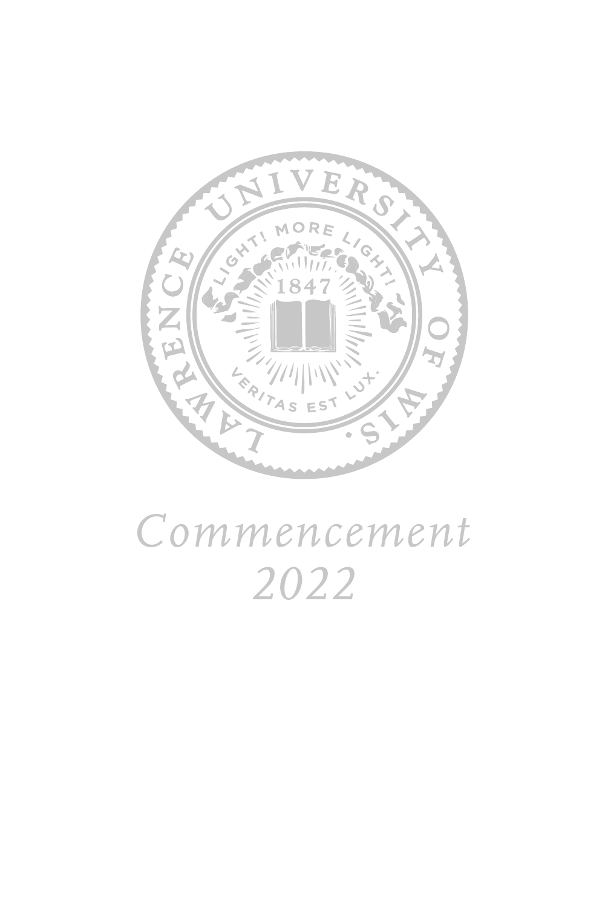

# *Commencement 2022*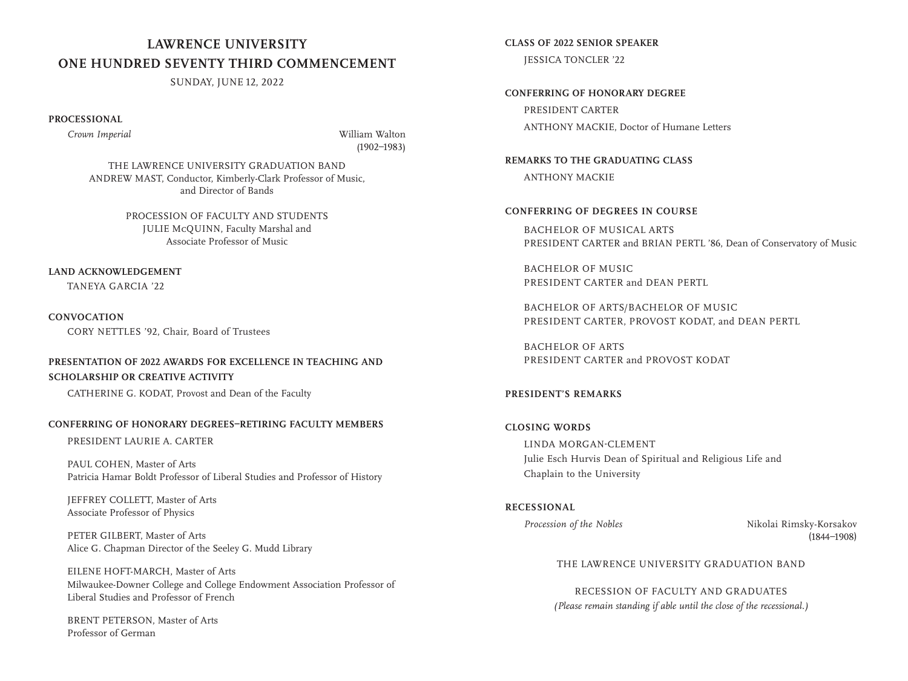## **LAWRENCE UNIVERSITY ONE HUNDRED SEVENTY THIRD COMMENCEMENT**

SUNDAY, JUNE 12, 2022

**PROCESSIONAL**

 *Crown Imperial* William Walton (1902–1983)

THE LAWRENCE UNIVERSITY GRADUATION BAND ANDREW MAST, Conductor, Kimberly-Clark Professor of Music, and Director of Bands

> PROCESSION OF FACULTY AND STUDENTS JULIE McQUINN, Faculty Marshal and Associate Professor of Music

#### **LAND ACKNOWLEDGEMENT**

TANEYA GARCIA '22

**CONVOCATION** CORY NETTLES '92, Chair, Board of Trustees

#### **PRESENTATION OF 2022 AWARDS FOR EXCELLENCE IN TEACHING AND SCHOLARSHIP OR CREATIVE ACTIVITY**

CATHERINE G. KODAT, Provost and Dean of the Faculty

#### **CONFERRING OF HONORARY DEGREES–RETIRING FACULTY MEMBERS**

PRESIDENT LAURIE A. CARTER

PAUL COHEN, Master of Arts Patricia Hamar Boldt Professor of Liberal Studies and Professor of History

JEFFREY COLLETT, Master of Arts Associate Professor of Physics

PETER GILBERT, Master of Arts Alice G. Chapman Director of the Seeley G. Mudd Library

 EILENE HOFT-MARCH, Master of Arts Milwaukee-Downer College and College Endowment Association Professor of Liberal Studies and Professor of French

BRENT PETERSON, Master of Arts Professor of German

**CLASS OF 2022 SENIOR SPEAKER** JESSICA TONCLER '22

**CONFERRING OF HONORARY DEGREE** PRESIDENT CARTER ANTHONY MACKIE, Doctor of Humane Letters

**REMARKS TO THE GRADUATING CLASS** ANTHONY MACKIE

#### **CONFERRING OF DEGREES IN COURSE**

BACHELOR OF MUSICAL ARTS PRESIDENT CARTER and BRIAN PERTL '86, Dean of Conservatory of Music

BACHELOR OF MUSIC PRESIDENT CARTER and DEAN PERTL

BACHELOR OF ARTS/BACHELOR OF MUSIC PRESIDENT CARTER, PROVOST KODAT, and DEAN PERTL

BACHELOR OF ARTS PRESIDENT CARTER and PROVOST KODAT

#### **PRESIDENT'S REMARKS**

## **CLOSING WORDS**

 LINDA MORGAN-CLEMENT Julie Esch Hurvis Dean of Spiritual and Religious Life and Chaplain to the University

**RECESSIONAL**

*Procession of the Nobles* Nikolai Rimsky-Korsakov (1844–1908)

#### THE LAWRENCE UNIVERSITY GRADUATION BAND

RECESSION OF FACULTY AND GRADUATES *(Please remain standing if able until the close of the recessional.)*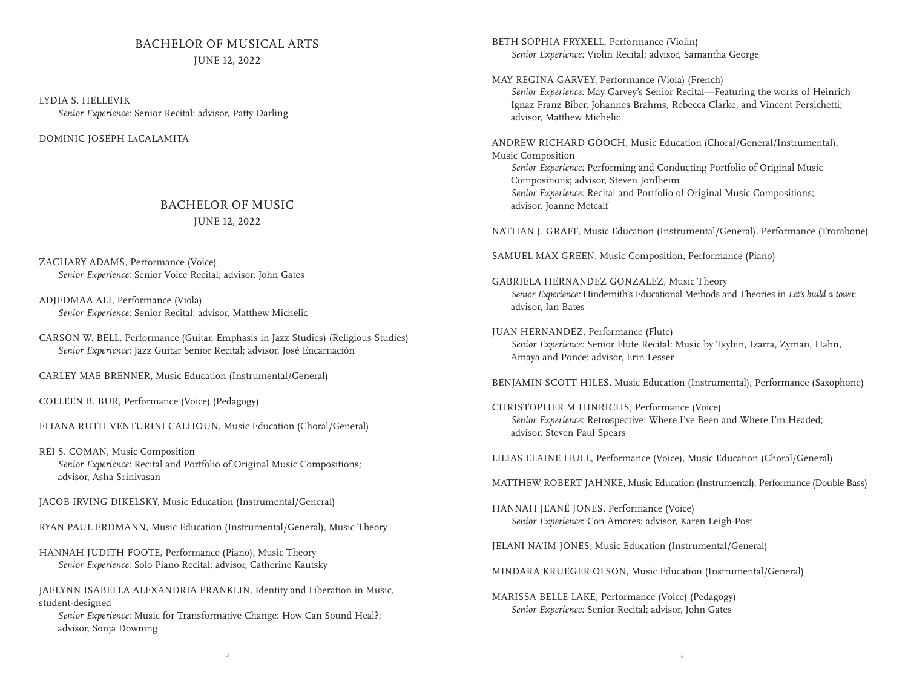## BACHELOR OF MUSICAL ARTS

JUNE 12, 2022

LYDIA S. HELLEVIK *Senior Experience:* Senior Recital; advisor, Patty Darling

DOMINIC JOSEPH LaCALAMITA

#### BACHELOR OF MUSIC JUNE 12, 2022

ZACHARY ADAMS, Performance (Voice) *Senior Experience:* Senior Voice Recital; advisor, John Gates

ADJEDMAA ALI, Performance (Viola) *Senior Experience:* Senior Recital; advisor, Matthew Michelic

CARSON W. BELL, Performance (Guitar, Emphasis in Jazz Studies) (Religious Studies) *Senior Experience:* Jazz Guitar Senior Recital; advisor, José Encarnación

CARLEY MAE BRENNER, Music Education (Instrumental/General)

COLLEEN B. BUR, Performance (Voice) (Pedagogy)

ELIANA RUTH VENTURINI CALHOUN, Music Education (Choral/General)

REI S. COMAN, Music Composition *Senior Experience:* Recital and Portfolio of Original Music Compositions; advisor, Asha Srinivasan

JACOB IRVING DIKELSKY, Music Education (Instrumental/General)

RYAN PAUL ERDMANN, Music Education (Instrumental/General), Music Theory

HANNAH JUDITH FOOTE, Performance (Piano), Music Theory *Senior Experience*: Solo Piano Recital; advisor, Catherine Kautsky

JAELYNN ISABELLA ALEXANDRIA FRANKLIN, Identity and Liberation in Music, student-designed

 *Senior Experience*: Music for Transformative Change: How Can Sound Heal?; advisor, Sonja Downing

BETH SOPHIA FRYXELL, Performance (Violin) *Senior Experience:* Violin Recital; advisor, Samantha George

MAY REGINA GARVEY, Performance (Viola) (French) *Senior Experience:* May Garvey's Senior Recital—Featuring the works of Heinrich Ignaz Franz Biber, Johannes Brahms, Rebecca Clarke, and Vincent Persichetti; advisor, Matthew Michelic

ANDREW RICHARD GOOCH, Music Education (Choral/General/Instrumental), Music Composition *Senior Experience:* Performing and Conducting Portfolio of Original Music

Compositions; advisor, Steven Jordheim *Senior Experience:* Recital and Portfolio of Original Music Compositions; advisor, Joanne Metcalf

NATHAN J. GRAFF, Music Education (Instrumental/General), Performance (Trombone)

SAMUEL MAX GREEN, Music Composition, Performance (Piano)

GABRIELA HERNANDEZ GONZALEZ, Music Theory  *Senior Experience:* Hindemith's Educational Methods and Theories in *Let's build a town*; advisor, Ian Bates

JUAN HERNANDEZ, Performance (Flute) *Senior Experience:* Senior Flute Recital: Music by Tsybin, Izarra, Zyman, Hahn, Amaya and Ponce; advisor, Erin Lesser

BENJAMIN SCOTT HILES, Music Education (Instrumental), Performance (Saxophone)

CHRISTOPHER M HINRICHS, Performance (Voice) *Senior Experience*: Retrospective: Where I've Been and Where I'm Headed; advisor, Steven Paul Spears

LILIAS ELAINE HULL, Performance (Voice), Music Education (Choral/General)

MATTHEW ROBERT JAHNKE, Music Education (Instrumental), Performance (Double Bass)

HANNAH JEANÉ JONES, Performance (Voice) *Senior Experience*: Con Amores; advisor, Karen Leigh-Post

JELANI NA'IM JONES, Music Education (Instrumental/General)

MINDARA KRUEGER-OLSON, Music Education (Instrumental/General)

MARISSA BELLE LAKE, Performance (Voice) (Pedagogy) *Senior Experience:* Senior Recital; advisor, John Gates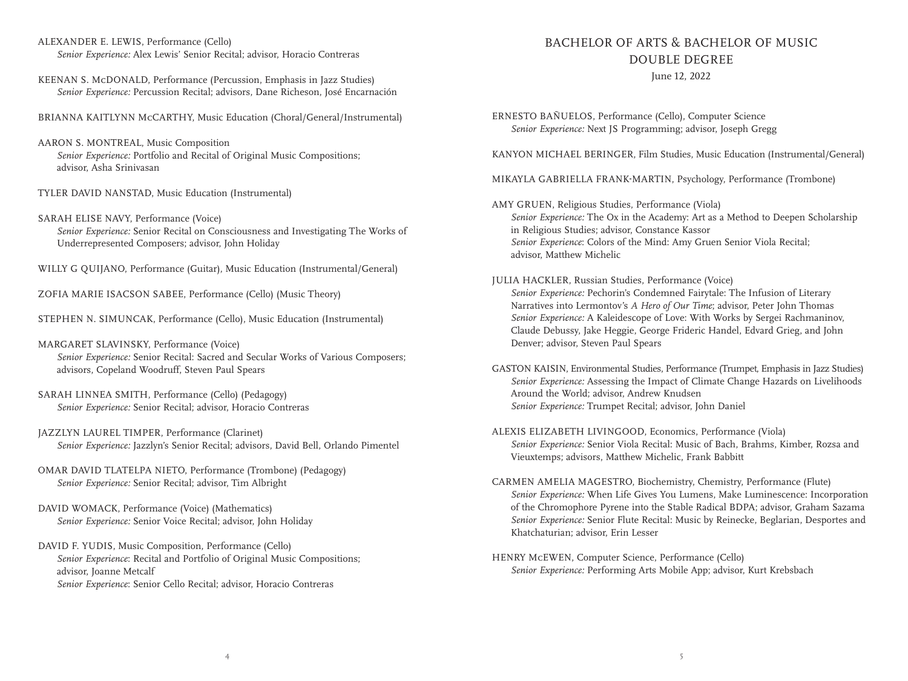ALEXANDER E. LEWIS, Performance (Cello) *Senior Experience:* Alex Lewis' Senior Recital; advisor, Horacio Contreras

KEENAN S. McDONALD, Performance (Percussion, Emphasis in Jazz Studies) *Senior Experience:* Percussion Recital; advisors, Dane Richeson, José Encarnación

BRIANNA KAITLYNN McCARTHY, Music Education (Choral/General/Instrumental)

- AARON S. MONTREAL, Music Composition  *Senior Experience:* Portfolio and Recital of Original Music Compositions; advisor, Asha Srinivasan
- TYLER DAVID NANSTAD, Music Education (Instrumental)
- SARAH ELISE NAVY, Performance (Voice) *Senior Experience:* Senior Recital on Consciousness and Investigating The Works of Underrepresented Composers; advisor, John Holiday

WILLY G QUIJANO, Performance (Guitar), Music Education (Instrumental/General)

ZOFIA MARIE ISACSON SABEE, Performance (Cello) (Music Theory)

STEPHEN N. SIMUNCAK, Performance (Cello), Music Education (Instrumental)

- MARGARET SLAVINSKY, Performance (Voice) *Senior Experience:* Senior Recital: Sacred and Secular Works of Various Composers; advisors, Copeland Woodruff, Steven Paul Spears
- SARAH LINNEA SMITH, Performance (Cello) (Pedagogy) *Senior Experience:* Senior Recital; advisor, Horacio Contreras
- JAZZLYN LAUREL TIMPER, Performance (Clarinet) *Senior Experience:* Jazzlyn's Senior Recital; advisors, David Bell, Orlando Pimentel
- OMAR DAVID TLATELPA NIETO, Performance (Trombone) (Pedagogy) *Senior Experience:* Senior Recital; advisor, Tim Albright
- DAVID WOMACK, Performance (Voice) (Mathematics) *Senior Experience:* Senior Voice Recital; advisor, John Holiday
- DAVID F. YUDIS, Music Composition, Performance (Cello) *Senior Experience*: Recital and Portfolio of Original Music Compositions; advisor, Joanne Metcalf *Senior Experience*: Senior Cello Recital; advisor, Horacio Contreras

## BACHELOR OF ARTS & BACHELOR OF MUSIC DOUBLE DEGREE

June 12, 2022

ERNESTO BAÑUELOS, Performance (Cello), Computer Science *Senior Experience:* Next JS Programming; advisor, Joseph Gregg

KANYON MICHAEL BERINGER, Film Studies, Music Education (Instrumental/General)

- MIKAYLA GABRIELLA FRANK-MARTIN, Psychology, Performance (Trombone)
- AMY GRUEN, Religious Studies, Performance (Viola)  *Senior Experience:* The Ox in the Academy: Art as a Method to Deepen Scholarship in Religious Studies; advisor, Constance Kassor  *Senior Experience*: Colors of the Mind: Amy Gruen Senior Viola Recital; advisor, Matthew Michelic
- JULIA HACKLER, Russian Studies, Performance (Voice) *Senior Experience:* Pechorin's Condemned Fairytale: The Infusion of Literary Narratives into Lermontov's *A Hero of Our Time*; advisor, Peter John Thomas  *Senior Experience:* A Kaleidescope of Love: With Works by Sergei Rachmaninov, Claude Debussy, Jake Heggie, George Frideric Handel, Edvard Grieg, and John Denver; advisor, Steven Paul Spears
- GASTON KAISIN, Environmental Studies, Performance (Trumpet, Emphasis in Jazz Studies)  *Senior Experience:* Assessing the Impact of Climate Change Hazards on Livelihoods Around the World; advisor, Andrew Knudsen *Senior Experience:* Trumpet Recital; advisor, John Daniel
- ALEXIS ELIZABETH LIVINGOOD, Economics, Performance (Viola)  *Senior Experience:* Senior Viola Recital: Music of Bach, Brahms, Kimber, Rozsa and Vieuxtemps; advisors, Matthew Michelic, Frank Babbitt
- CARMEN AMELIA MAGESTRO, Biochemistry, Chemistry, Performance (Flute) *Senior Experience:* When Life Gives You Lumens, Make Luminescence: Incorporation of the Chromophore Pyrene into the Stable Radical BDPA; advisor, Graham Sazama  *Senior Experience:* Senior Flute Recital: Music by Reinecke, Beglarian, Desportes and Khatchaturian; advisor, Erin Lesser
- HENRY McEWEN, Computer Science, Performance (Cello) *Senior Experience:* Performing Arts Mobile App; advisor, Kurt Krebsbach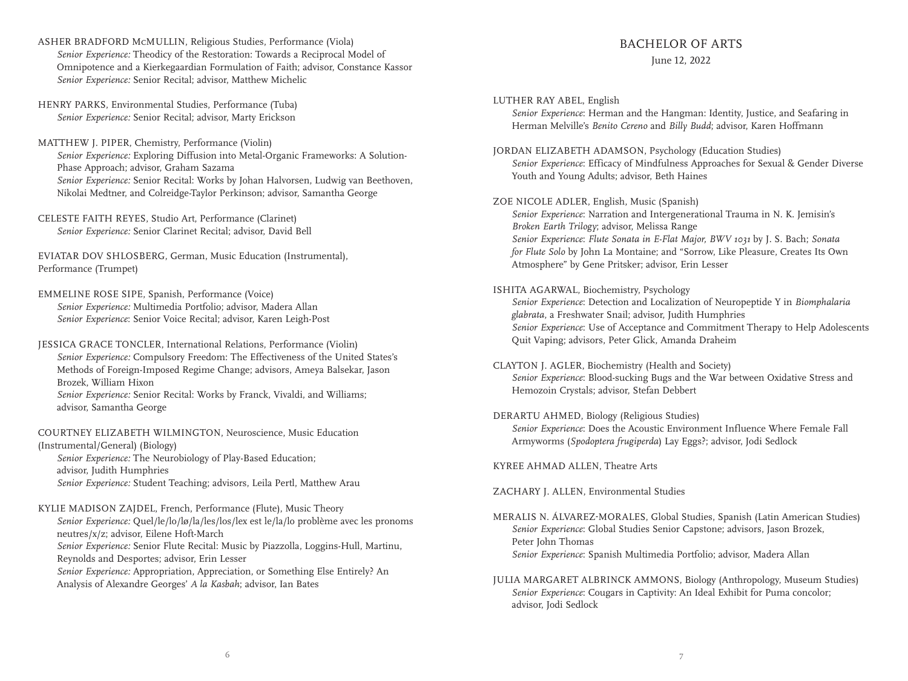ASHER BRADFORD McMULLIN, Religious Studies, Performance (Viola) *Senior Experience:* Theodicy of the Restoration: Towards a Reciprocal Model of Omnipotence and a Kierkegaardian Formulation of Faith; advisor, Constance Kassor *Senior Experience:* Senior Recital; advisor, Matthew Michelic

HENRY PARKS, Environmental Studies, Performance (Tuba) *Senior Experience:* Senior Recital; advisor, Marty Erickson

MATTHEW J. PIPER, Chemistry, Performance (Violin) *Senior Experience:* Exploring Diffusion into Metal-Organic Frameworks: A Solution-Phase Approach; advisor, Graham Sazama *Senior Experience:* Senior Recital: Works by Johan Halvorsen, Ludwig van Beethoven, Nikolai Medtner, and Colreidge-Taylor Perkinson; advisor, Samantha George

CELESTE FAITH REYES, Studio Art, Performance (Clarinet) *Senior Experience:* Senior Clarinet Recital; advisor, David Bell

EVIATAR DOV SHLOSBERG, German, Music Education (Instrumental), Performance (Trumpet)

EMMELINE ROSE SIPE, Spanish, Performance (Voice) *Senior Experience:* Multimedia Portfolio; advisor, Madera Allan *Senior Experience*: Senior Voice Recital; advisor, Karen Leigh-Post

JESSICA GRACE TONCLER, International Relations, Performance (Violin)  *Senior Experience:* Compulsory Freedom: The Effectiveness of the United States's Methods of Foreign-Imposed Regime Change; advisors, Ameya Balsekar, Jason Brozek, William Hixon *Senior Experience:* Senior Recital: Works by Franck, Vivaldi, and Williams; advisor, Samantha George

COURTNEY ELIZABETH WILMINGTON, Neuroscience, Music Education (Instrumental/General) (Biology) *Senior Experience:* The Neurobiology of Play-Based Education; advisor, Judith Humphries

*Senior Experience:* Student Teaching; advisors, Leila Pertl, Matthew Arau

KYLIE MADISON ZAJDEL, French, Performance (Flute), Music Theory

 *Senior Experience:* Quel/le/lo/lø/la/les/los/lex est le/la/lo problème avec les pronoms neutres/x/z; advisor, Eilene Hoft-March *Senior Experience:* Senior Flute Recital: Music by Piazzolla, Loggins-Hull, Martinu, Reynolds and Desportes; advisor, Erin Lesser

*Senior Experience:* Appropriation, Appreciation, or Something Else Entirely? An Analysis of Alexandre Georges' *A la Kasbah*; advisor, Ian Bates

#### BACHELOR OF ARTS

#### June 12, 2022

LUTHER RAY ABEL, English

*Senior Experience*: Herman and the Hangman: Identity, Justice, and Seafaring in Herman Melville's *Benito Cereno* and *Billy Budd*; advisor, Karen Hoffmann

JORDAN ELIZABETH ADAMSON, Psychology (Education Studies) *Senior Experience*: Efficacy of Mindfulness Approaches for Sexual & Gender Diverse Youth and Young Adults; advisor, Beth Haines

ZOE NICOLE ADLER, English, Music (Spanish)

 *Senior Experience*: Narration and Intergenerational Trauma in N. K. Jemisin's *Broken Earth Trilogy*; advisor, Melissa Range *Senior Experience*: *Flute Sonata in E-Flat Major, BWV 1031* by J. S. Bach; *Sonata for Flute Solo* by John La Montaine; and "Sorrow, Like Pleasure, Creates Its Own Atmosphere" by Gene Pritsker; advisor, Erin Lesser

#### ISHITA AGARWAL, Biochemistry, Psychology

 *Senior Experience*: Detection and Localization of Neuropeptide Y in *Biomphalaria glabrata*, a Freshwater Snail; advisor, Judith Humphries *Senior Experience*: Use of Acceptance and Commitment Therapy to Help Adolescents Quit Vaping; advisors, Peter Glick, Amanda Draheim

CLAYTON J. AGLER, Biochemistry (Health and Society) *Senior Experience*: Blood-sucking Bugs and the War between Oxidative Stress and Hemozoin Crystals; advisor, Stefan Debbert

#### DERARTU AHMED, Biology (Religious Studies)

 *Senior Experience*: Does the Acoustic Environment Influence Where Female Fall Armyworms (*Spodoptera frugiperda*) Lay Eggs?; advisor, Jodi Sedlock

KYREE AHMAD ALLEN, Theatre Arts

ZACHARY J. ALLEN, Environmental Studies

MERALIS N. ÁLVAREZ-MORALES, Global Studies, Spanish (Latin American Studies) *Senior Experience*: Global Studies Senior Capstone; advisors, Jason Brozek, Peter John Thomas *Senior Experience*: Spanish Multimedia Portfolio; advisor, Madera Allan

JULIA MARGARET ALBRINCK AMMONS, Biology (Anthropology, Museum Studies) *Senior Experience*: Cougars in Captivity: An Ideal Exhibit for Puma concolor; advisor, Jodi Sedlock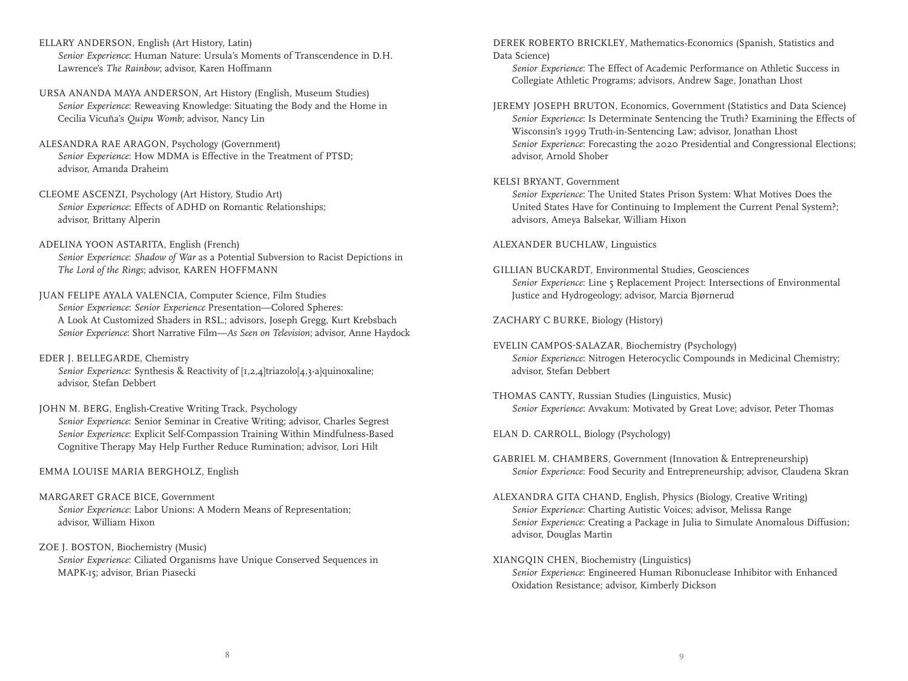- ELLARY ANDERSON, English (Art History, Latin) *Senior Experience*: Human Nature: Ursula's Moments of Transcendence in D.H. Lawrence's *The Rainbow*; advisor, Karen Hoffmann
- URSA ANANDA MAYA ANDERSON, Art History (English, Museum Studies) *Senior Experience*: Reweaving Knowledge: Situating the Body and the Home in Cecilia Vicuña's *Quipu Womb*; advisor, Nancy Lin
- ALESANDRA RAE ARAGON, Psychology (Government) *Senior Experience*: How MDMA is Effective in the Treatment of PTSD; advisor, Amanda Draheim
- CLEOME ASCENZI, Psychology (Art History, Studio Art) *Senior Experience*: Effects of ADHD on Romantic Relationships; advisor, Brittany Alperin
- ADELINA YOON ASTARITA, English (French) *Senior Experience*: *Shadow of War* as a Potential Subversion to Racist Depictions in *The Lord of the Rings*; advisor, KAREN HOFFMANN
- JUAN FELIPE AYALA VALENCIA, Computer Science, Film Studies *Senior Experience*: *Senior Experience* Presentation—Colored Spheres: A Look At Customized Shaders in RSL.; advisors, Joseph Gregg, Kurt Krebsbach *Senior Experience*: Short Narrative Film—*As Seen on Television*; advisor, Anne Haydock
- EDER J. BELLEGARDE, Chemistry *Senior Experience*: Synthesis & Reactivity of [1,2,4]triazolo[4,3-a]quinoxaline; advisor, Stefan Debbert
- JOHN M. BERG, English-Creative Writing Track, Psychology *Senior Experience*: Senior Seminar in Creative Writing; advisor, Charles Segrest *Senior Experience*: Explicit Self-Compassion Training Within Mindfulness-Based Cognitive Therapy May Help Further Reduce Rumination; advisor, Lori Hilt
- EMMA LOUISE MARIA BERGHOLZ, English
- MARGARET GRACE BICE, Government *Senior Experience*: Labor Unions: A Modern Means of Representation; advisor, William Hixon
- ZOE J. BOSTON, Biochemistry (Music) *Senior Experience*: Ciliated Organisms have Unique Conserved Sequences in MAPK-15; advisor, Brian Piasecki

DEREK ROBERTO BRICKLEY, Mathematics-Economics (Spanish, Statistics and Data Science)

 *Senior Experience*: The Effect of Academic Performance on Athletic Success in Collegiate Athletic Programs; advisors, Andrew Sage, Jonathan Lhost

JEREMY JOSEPH BRUTON, Economics, Government (Statistics and Data Science) *Senior Experience*: Is Determinate Sentencing the Truth? Examining the Effects of Wisconsin's 1999 Truth-in-Sentencing Law; advisor, Jonathan Lhost *Senior Experience*: Forecasting the 2020 Presidential and Congressional Elections; advisor, Arnold Shober

#### KELSI BRYANT, Government

 *Senior Experience*: The United States Prison System: What Motives Does the United States Have for Continuing to Implement the Current Penal System?; advisors, Ameya Balsekar, William Hixon

ALEXANDER BUCHLAW, Linguistics

GILLIAN BUCKARDT, Environmental Studies, Geosciences *Senior Experience*: Line 5 Replacement Project: Intersections of Environmental Justice and Hydrogeology; advisor, Marcia Bjørnerud

ZACHARY C BURKE, Biology (History)

- EVELIN CAMPOS-SALAZAR, Biochemistry (Psychology) *Senior Experience*: Nitrogen Heterocyclic Compounds in Medicinal Chemistry; advisor, Stefan Debbert
- THOMAS CANTY, Russian Studies (Linguistics, Music) *Senior Experience*: Avvakum: Motivated by Great Love; advisor, Peter Thomas

ELAN D. CARROLL, Biology (Psychology)

- GABRIEL M. CHAMBERS, Government (Innovation & Entrepreneurship) *Senior Experience*: Food Security and Entrepreneurship; advisor, Claudena Skran
- ALEXANDRA GITA CHAND, English, Physics (Biology, Creative Writing) *Senior Experience*: Charting Autistic Voices; advisor, Melissa Range *Senior Experience*: Creating a Package in Julia to Simulate Anomalous Diffusion; advisor, Douglas Martin
- XIANGQIN CHEN, Biochemistry (Linguistics) *Senior Experience*: Engineered Human Ribonuclease Inhibitor with Enhanced Oxidation Resistance; advisor, Kimberly Dickson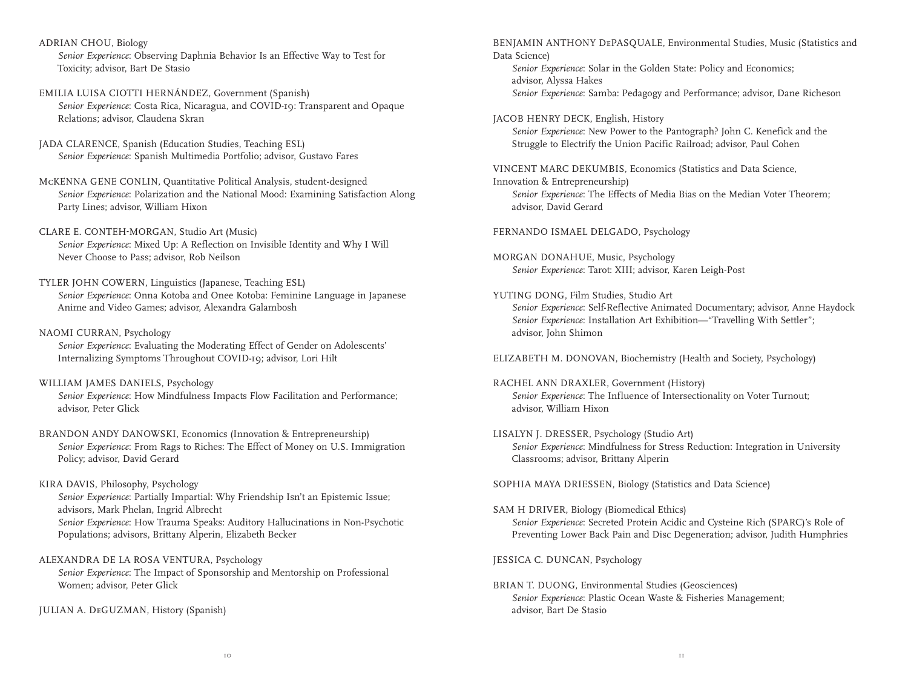ADRIAN CHOU, Biology

 *Senior Experience*: Observing Daphnia Behavior Is an Effective Way to Test for Toxicity; advisor, Bart De Stasio

- EMILIA LUISA CIOTTI HERNÁNDEZ, Government (Spanish) *Senior Experience*: Costa Rica, Nicaragua, and COVID-19: Transparent and Opaque Relations; advisor, Claudena Skran
- JADA CLARENCE, Spanish (Education Studies, Teaching ESL) *Senior Experience*: Spanish Multimedia Portfolio; advisor, Gustavo Fares

#### McKENNA GENE CONLIN, Quantitative Political Analysis, student-designed

 *Senior Experience*: Polarization and the National Mood: Examining Satisfaction Along Party Lines; advisor, William Hixon

- CLARE E. CONTEH-MORGAN, Studio Art (Music) *Senior Experience*: Mixed Up: A Reflection on Invisible Identity and Why I Will Never Choose to Pass; advisor, Rob Neilson
- TYLER JOHN COWERN, Linguistics (Japanese, Teaching ESL) *Senior Experience*: Onna Kotoba and Onee Kotoba: Feminine Language in Japanese Anime and Video Games; advisor, Alexandra Galambosh

#### NAOMI CURRAN, Psychology

 *Senior Experience*: Evaluating the Moderating Effect of Gender on Adolescents' Internalizing Symptoms Throughout COVID-19; advisor, Lori Hilt

#### WILLIAM JAMES DANIELS, Psychology

 *Senior Experience*: How Mindfulness Impacts Flow Facilitation and Performance; advisor, Peter Glick

#### BRANDON ANDY DANOWSKI, Economics (Innovation & Entrepreneurship) *Senior Experience*: From Rags to Riches: The Effect of Money on U.S. Immigration Policy; advisor, David Gerard

KIRA DAVIS, Philosophy, Psychology *Senior Experience*: Partially Impartial: Why Friendship Isn't an Epistemic Issue; advisors, Mark Phelan, Ingrid Albrecht *Senior Experience*: How Trauma Speaks: Auditory Hallucinations in Non-Psychotic Populations; advisors, Brittany Alperin, Elizabeth Becker

ALEXANDRA DE LA ROSA VENTURA, Psychology

 *Senior Experience*: The Impact of Sponsorship and Mentorship on Professional Women; advisor, Peter Glick

JULIAN A. DeGUZMAN, History (Spanish)

BENJAMIN ANTHONY DePASQUALE, Environmental Studies, Music (Statistics and Data Science)

 *Senior Experience*: Solar in the Golden State: Policy and Economics; advisor, Alyssa Hakes *Senior Experience*: Samba: Pedagogy and Performance; advisor, Dane Richeson

#### JACOB HENRY DECK, English, History

 *Senior Experience*: New Power to the Pantograph? John C. Kenefick and the Struggle to Electrify the Union Pacific Railroad; advisor, Paul Cohen

VINCENT MARC DEKUMBIS, Economics (Statistics and Data Science,

Innovation & Entrepreneurship) *Senior Experience*: The Effects of Media Bias on the Median Voter Theorem; advisor, David Gerard

FERNANDO ISMAEL DELGADO, Psychology

MORGAN DONAHUE, Music, Psychology *Senior Experience*: Tarot: XIII; advisor, Karen Leigh-Post

YUTING DONG, Film Studies, Studio Art *Senior Experience*: Self-Reflective Animated Documentary; advisor, Anne Haydock *Senior Experience*: Installation Art Exhibition—"Travelling With Settler"; advisor, John Shimon

ELIZABETH M. DONOVAN, Biochemistry (Health and Society, Psychology)

- RACHEL ANN DRAXLER, Government (History) *Senior Experience*: The Influence of Intersectionality on Voter Turnout; advisor, William Hixon
- LISALYN J. DRESSER, Psychology (Studio Art) *Senior Experience*: Mindfulness for Stress Reduction: Integration in University Classrooms; advisor, Brittany Alperin

SOPHIA MAYA DRIESSEN, Biology (Statistics and Data Science)

SAM H DRIVER, Biology (Biomedical Ethics) *Senior Experience*: Secreted Protein Acidic and Cysteine Rich (SPARC)'s Role of Preventing Lower Back Pain and Disc Degeneration; advisor, Judith Humphries

JESSICA C. DUNCAN, Psychology

BRIAN T. DUONG, Environmental Studies (Geosciences) *Senior Experience*: Plastic Ocean Waste & Fisheries Management; advisor, Bart De Stasio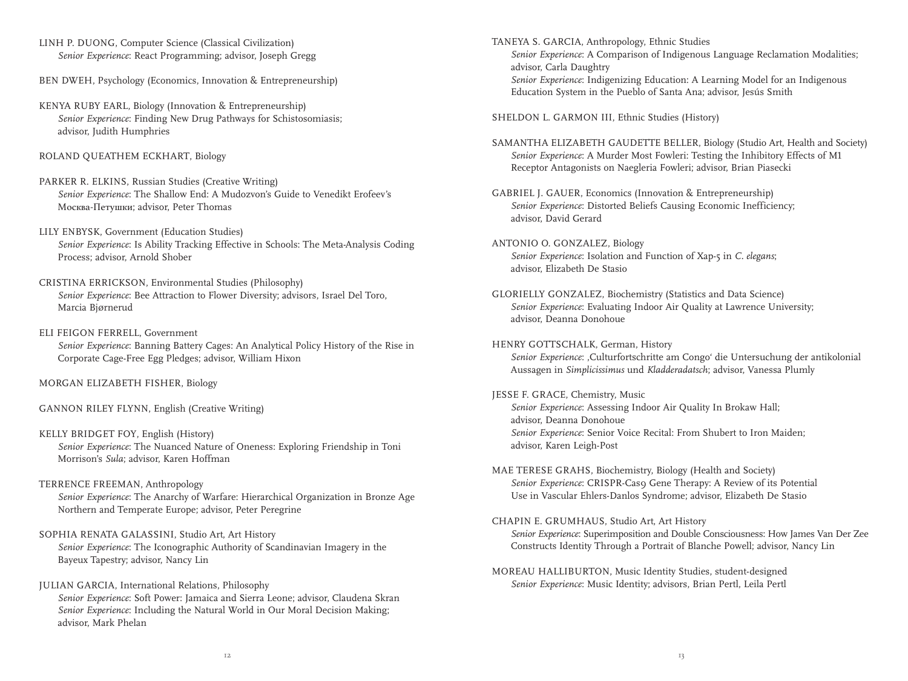LINH P. DUONG, Computer Science (Classical Civilization) *Senior Experience*: React Programming; advisor, Joseph Gregg

BEN DWEH, Psychology (Economics, Innovation & Entrepreneurship)

- KENYA RUBY EARL, Biology (Innovation & Entrepreneurship) *Senior Experience*: Finding New Drug Pathways for Schistosomiasis; advisor, Judith Humphries
- ROLAND QUEATHEM ECKHART, Biology
- PARKER R. ELKINS, Russian Studies (Creative Writing) *Senior Experience*: The Shallow End: A Mudozvon's Guide to Venedikt Erofeev's Москва-Петушки; advisor, Peter Thomas
- LILY ENBYSK, Government (Education Studies) *Senior Experience*: Is Ability Tracking Effective in Schools: The Meta-Analysis Coding Process; advisor, Arnold Shober
- CRISTINA ERRICKSON, Environmental Studies (Philosophy) *Senior Experience*: Bee Attraction to Flower Diversity; advisors, Israel Del Toro, Marcia BjØrnerud
- ELI FEIGON FERRELL, Government

 *Senior Experience*: Banning Battery Cages: An Analytical Policy History of the Rise in Corporate Cage-Free Egg Pledges; advisor, William Hixon

MORGAN ELIZABETH FISHER, Biology

GANNON RILEY FLYNN, English (Creative Writing)

- KELLY BRIDGET FOY, English (History) *Senior Experience*: The Nuanced Nature of Oneness: Exploring Friendship in Toni Morrison's *Sula*; advisor, Karen Hoffman
- TERRENCE FREEMAN, Anthropology *Senior Experience*: The Anarchy of Warfare: Hierarchical Organization in Bronze Age Northern and Temperate Europe; advisor, Peter Peregrine
- SOPHIA RENATA GALASSINI, Studio Art, Art History *Senior Experience*: The Iconographic Authority of Scandinavian Imagery in the Bayeux Tapestry; advisor, Nancy Lin
- JULIAN GARCIA, International Relations, Philosophy *Senior Experience*: Soft Power: Jamaica and Sierra Leone; advisor, Claudena Skran *Senior Experience*: Including the Natural World in Our Moral Decision Making; advisor, Mark Phelan

TANEYA S. GARCIA, Anthropology, Ethnic Studies *Senior Experience*: A Comparison of Indigenous Language Reclamation Modalities; advisor, Carla Daughtry *Senior Experience*: Indigenizing Education: A Learning Model for an Indigenous Education System in the Pueblo of Santa Ana; advisor, Jesús Smith

SHELDON L. GARMON III, Ethnic Studies (History)

- SAMANTHA ELIZABETH GAUDETTE BELLER, Biology (Studio Art, Health and Society) *Senior Experience*: A Murder Most Fowleri: Testing the Inhibitory Effects of M1 Receptor Antagonists on Naegleria Fowleri; advisor, Brian Piasecki
- GABRIEL J. GAUER, Economics (Innovation & Entrepreneurship) *Senior Experience*: Distorted Beliefs Causing Economic Inefficiency; advisor, David Gerard
- ANTONIO O. GONZALEZ, Biology *Senior Experience*: Isolation and Function of Xap-5 in *C. elegans*; advisor, Elizabeth De Stasio
- GLORIELLY GONZALEZ, Biochemistry (Statistics and Data Science) *Senior Experience*: Evaluating Indoor Air Quality at Lawrence University; advisor, Deanna Donohoue
- HENRY GOTTSCHALK, German, History *Senior Experience*: ,Culturfortschritte am Congo' die Untersuchung der antikolonial Aussagen in *Simplicissimus* und *Kladderadatsch*; advisor, Vanessa Plumly
- JESSE F. GRACE, Chemistry, Music *Senior Experience*: Assessing Indoor Air Quality In Brokaw Hall; advisor, Deanna Donohoue *Senior Experience*: Senior Voice Recital: From Shubert to Iron Maiden; advisor, Karen Leigh-Post
- MAE TERESE GRAHS, Biochemistry, Biology (Health and Society) *Senior Experience*: CRISPR-Cas9 Gene Therapy: A Review of its Potential Use in Vascular Ehlers-Danlos Syndrome; advisor, Elizabeth De Stasio
- CHAPIN E. GRUMHAUS, Studio Art, Art History *Senior Experience*: Superimposition and Double Consciousness: How James Van Der Zee Constructs Identity Through a Portrait of Blanche Powell; advisor, Nancy Lin
- MOREAU HALLIBURTON, Music Identity Studies, student-designed *Senior Experience*: Music Identity; advisors, Brian Pertl, Leila Pertl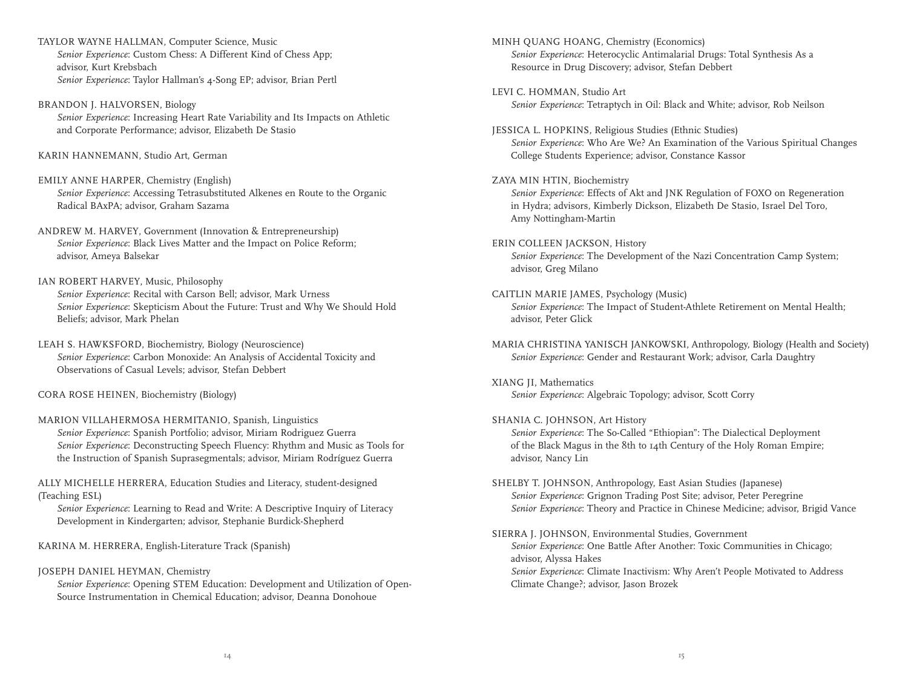TAYLOR WAYNE HALLMAN, Computer Science, Music *Senior Experience*: Custom Chess: A Different Kind of Chess App; advisor, Kurt Krebsbach *Senior Experience*: Taylor Hallman's 4-Song EP; advisor, Brian Pertl

BRANDON J. HALVORSEN, Biology *Senior Experience*: Increasing Heart Rate Variability and Its Impacts on Athletic and Corporate Performance; advisor, Elizabeth De Stasio

KARIN HANNEMANN, Studio Art, German

EMILY ANNE HARPER, Chemistry (English) *Senior Experience*: Accessing Tetrasubstituted Alkenes en Route to the Organic Radical BAxPA; advisor, Graham Sazama

ANDREW M. HARVEY, Government (Innovation & Entrepreneurship) *Senior Experience*: Black Lives Matter and the Impact on Police Reform; advisor, Ameya Balsekar

#### IAN ROBERT HARVEY, Music, Philosophy

*Senior Experience*: Recital with Carson Bell; advisor, Mark Urness *Senior Experience*: Skepticism About the Future: Trust and Why We Should Hold Beliefs; advisor, Mark Phelan

LEAH S. HAWKSFORD, Biochemistry, Biology (Neuroscience) *Senior Experience*: Carbon Monoxide: An Analysis of Accidental Toxicity and Observations of Casual Levels; advisor, Stefan Debbert

CORA ROSE HEINEN, Biochemistry (Biology)

MARION VILLAHERMOSA HERMITANIO, Spanish, Linguistics *Senior Experience*: Spanish Portfolio; advisor, Miriam Rodriguez Guerra *Senior Experience*: Deconstructing Speech Fluency: Rhythm and Music as Tools for the Instruction of Spanish Suprasegmentals; advisor, Miriam Rodríguez Guerra

ALLY MICHELLE HERRERA, Education Studies and Literacy, student-designed (Teaching ESL)

 *Senior Experience*: Learning to Read and Write: A Descriptive Inquiry of Literacy Development in Kindergarten; advisor, Stephanie Burdick-Shepherd

KARINA M. HERRERA, English-Literature Track (Spanish)

JOSEPH DANIEL HEYMAN, Chemistry

 *Senior Experience*: Opening STEM Education: Development and Utilization of Open-Source Instrumentation in Chemical Education; advisor, Deanna Donohoue

MINH QUANG HOANG, Chemistry (Economics) *Senior Experience*: Heterocyclic Antimalarial Drugs: Total Synthesis As a Resource in Drug Discovery; advisor, Stefan Debbert LEVI C. HOMMAN, Studio Art *Senior Experience*: Tetraptych in Oil: Black and White; advisor, Rob Neilson JESSICA L. HOPKINS, Religious Studies (Ethnic Studies) *Senior Experience*: Who Are We? An Examination of the Various Spiritual Changes College Students Experience; advisor, Constance Kassor ZAYA MIN HTIN, Biochemistry *Senior Experience*: Effects of Akt and JNK Regulation of FOXO on Regeneration in Hydra; advisors, Kimberly Dickson, Elizabeth De Stasio, Israel Del Toro, Amy Nottingham-Martin ERIN COLLEEN JACKSON, History *Senior Experience*: The Development of the Nazi Concentration Camp System; advisor, Greg Milano CAITLIN MARIE JAMES, Psychology (Music) *Senior Experience*: The Impact of Student-Athlete Retirement on Mental Health; advisor, Peter Glick MARIA CHRISTINA YANISCH JANKOWSKI, Anthropology, Biology (Health and Society) *Senior Experience*: Gender and Restaurant Work; advisor, Carla Daughtry XIANG JI, Mathematics *Senior Experience*: Algebraic Topology; advisor, Scott Corry SHANIA C. JOHNSON, Art History *Senior Experience*: The So-Called "Ethiopian": The Dialectical Deployment of the Black Magus in the 8th to 14th Century of the Holy Roman Empire; advisor, Nancy Lin SHELBY T. JOHNSON, Anthropology, East Asian Studies (Japanese) *Senior Experience*: Grignon Trading Post Site; advisor, Peter Peregrine *Senior Experience*: Theory and Practice in Chinese Medicine; advisor, Brigid Vance SIERRA J. JOHNSON, Environmental Studies, Government *Senior Experience*: One Battle After Another: Toxic Communities in Chicago; advisor, Alyssa Hakes *Senior Experience*: Climate Inactivism: Why Aren't People Motivated to Address Climate Change?; advisor, Jason Brozek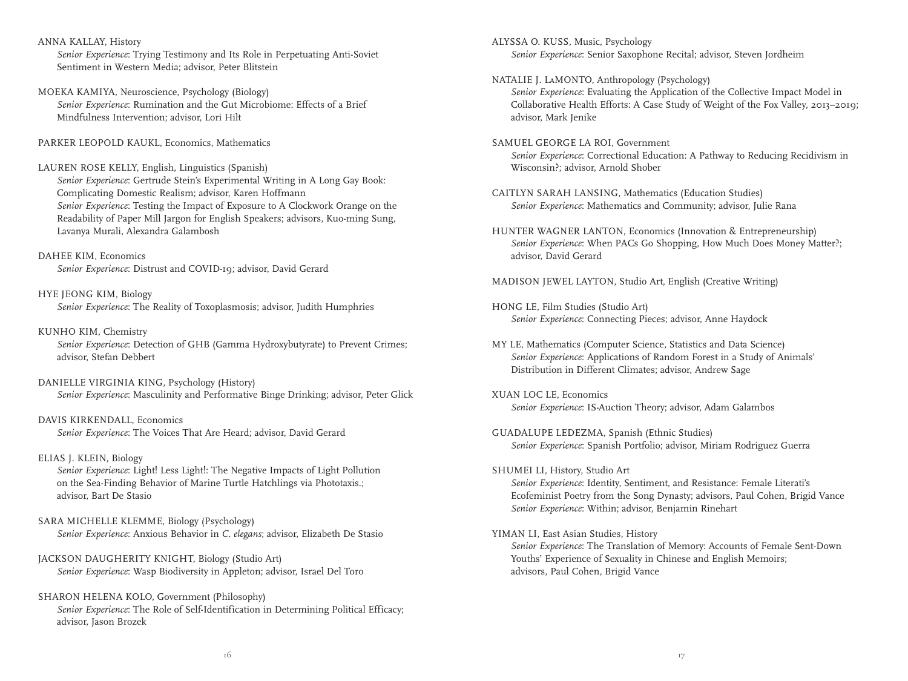ANNA KALLAY, History

 *Senior Experience*: Trying Testimony and Its Role in Perpetuating Anti-Soviet Sentiment in Western Media; advisor, Peter Blitstein

MOEKA KAMIYA, Neuroscience, Psychology (Biology) *Senior Experience*: Rumination and the Gut Microbiome: Effects of a Brief Mindfulness Intervention; advisor, Lori Hilt

PARKER LEOPOLD KAUKL, Economics, Mathematics

#### LAUREN ROSE KELLY, English, Linguistics (Spanish)

 *Senior Experience*: Gertrude Stein's Experimental Writing in A Long Gay Book: Complicating Domestic Realism; advisor, Karen Hoffmann *Senior Experience*: Testing the Impact of Exposure to A Clockwork Orange on the Readability of Paper Mill Jargon for English Speakers; advisors, Kuo-ming Sung, Lavanya Murali, Alexandra Galambosh

DAHEE KIM, Economics *Senior Experience*: Distrust and COVID-19; advisor, David Gerard

#### HYE JEONG KIM, Biology

*Senior Experience*: The Reality of Toxoplasmosis; advisor, Judith Humphries

#### KUNHO KIM, Chemistry

 *Senior Experience*: Detection of GHB (Gamma Hydroxybutyrate) to Prevent Crimes; advisor, Stefan Debbert

#### DANIELLE VIRGINIA KING, Psychology (History) *Senior Experience*: Masculinity and Performative Binge Drinking; advisor, Peter Glick

#### DAVIS KIRKENDALL, Economics *Senior Experience*: The Voices That Are Heard; advisor, David Gerard

#### ELIAS J. KLEIN, Biology

 *Senior Experience*: Light! Less Light!: The Negative Impacts of Light Pollution on the Sea-Finding Behavior of Marine Turtle Hatchlings via Phototaxis.; advisor, Bart De Stasio

- SARA MICHELLE KLEMME, Biology (Psychology) *Senior Experience*: Anxious Behavior in *C. elegans*; advisor, Elizabeth De Stasio
- JACKSON DAUGHERITY KNIGHT, Biology (Studio Art) *Senior Experience*: Wasp Biodiversity in Appleton; advisor, Israel Del Toro

#### SHARON HELENA KOLO, Government (Philosophy) *Senior Experience*: The Role of Self-Identification in Determining Political Efficacy; advisor, Jason Brozek

ALYSSA O. KUSS, Music, Psychology *Senior Experience*: Senior Saxophone Recital; advisor, Steven Jordheim

#### NATALIE J. LaMONTO, Anthropology (Psychology)

 *Senior Experience*: Evaluating the Application of the Collective Impact Model in Collaborative Health Efforts: A Case Study of Weight of the Fox Valley, 2013–2019; advisor, Mark Jenike

- SAMUEL GEORGE LA ROI, Government *Senior Experience*: Correctional Education: A Pathway to Reducing Recidivism in Wisconsin?; advisor, Arnold Shober
- CAITLYN SARAH LANSING, Mathematics (Education Studies) *Senior Experience*: Mathematics and Community; advisor, Julie Rana
- HUNTER WAGNER LANTON, Economics (Innovation & Entrepreneurship) *Senior Experience*: When PACs Go Shopping, How Much Does Money Matter?; advisor, David Gerard
- MADISON JEWEL LAYTON, Studio Art, English (Creative Writing)
- HONG LE, Film Studies (Studio Art) *Senior Experience*: Connecting Pieces; advisor, Anne Haydock
- MY LE, Mathematics (Computer Science, Statistics and Data Science) *Senior Experience*: Applications of Random Forest in a Study of Animals' Distribution in Different Climates; advisor, Andrew Sage
- XUAN LOC LE, Economics *Senior Experience*: IS-Auction Theory; advisor, Adam Galambos
- GUADALUPE LEDEZMA, Spanish (Ethnic Studies) *Senior Experience*: Spanish Portfolio; advisor, Miriam Rodriguez Guerra
- SHUMEI LI, History, Studio Art *Senior Experience*: Identity, Sentiment, and Resistance: Female Literati's Ecofeminist Poetry from the Song Dynasty; advisors, Paul Cohen, Brigid Vance *Senior Experience*: Within; advisor, Benjamin Rinehart
- YIMAN LI, East Asian Studies, History

 *Senior Experience*: The Translation of Memory: Accounts of Female Sent-Down Youths' Experience of Sexuality in Chinese and English Memoirs; advisors, Paul Cohen, Brigid Vance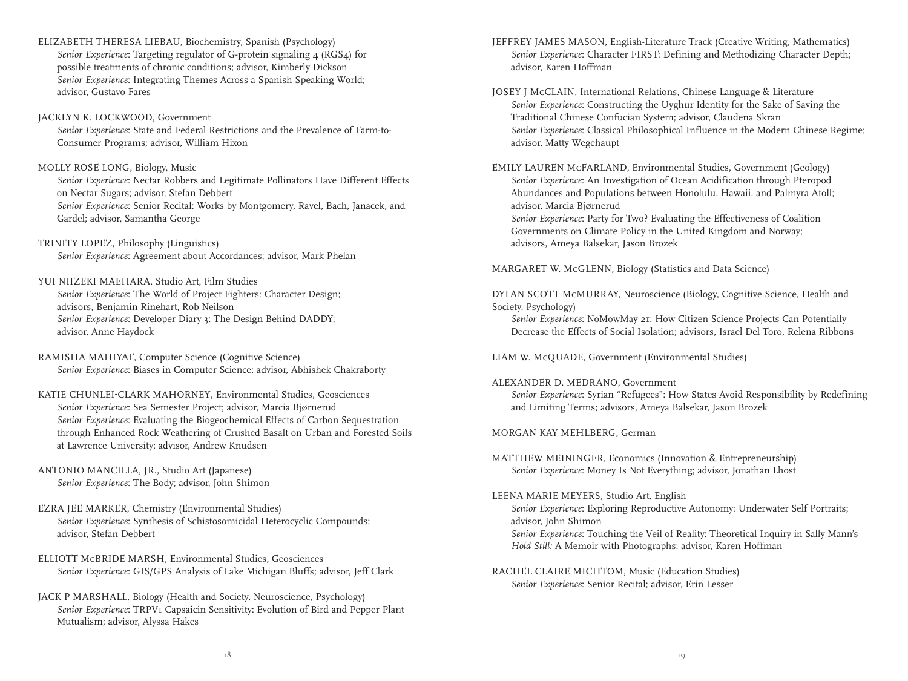ELIZABETH THERESA LIEBAU, Biochemistry, Spanish (Psychology) *Senior Experience*: Targeting regulator of G-protein signaling 4 (RGS4) for possible treatments of chronic conditions; advisor, Kimberly Dickson *Senior Experience*: Integrating Themes Across a Spanish Speaking World; advisor, Gustavo Fares

#### JACKLYN K. LOCKWOOD, Government

 *Senior Experience*: State and Federal Restrictions and the Prevalence of Farm-to-Consumer Programs; advisor, William Hixon

#### MOLLY ROSE LONG, Biology, Music

 *Senior Experience*: Nectar Robbers and Legitimate Pollinators Have Different Effects on Nectar Sugars; advisor, Stefan Debbert *Senior Experience*: Senior Recital: Works by Montgomery, Ravel, Bach, Janacek, and Gardel; advisor, Samantha George

TRINITY LOPEZ, Philosophy (Linguistics) *Senior Experience*: Agreement about Accordances; advisor, Mark Phelan

#### YUI NIIZEKI MAEHARA, Studio Art, Film Studies

 *Senior Experience*: The World of Project Fighters: Character Design; advisors, Benjamin Rinehart, Rob Neilson *Senior Experience*: Developer Diary 3: The Design Behind DADDY; advisor, Anne Haydock

RAMISHA MAHIYAT, Computer Science (Cognitive Science) *Senior Experience*: Biases in Computer Science; advisor, Abhishek Chakraborty

#### KATIE CHUNLEI-CLARK MAHORNEY, Environmental Studies, Geosciences *Senior Experience*: Sea Semester Project; advisor, Marcia BjØrnerud *Senior Experience*: Evaluating the Biogeochemical Effects of Carbon Sequestration through Enhanced Rock Weathering of Crushed Basalt on Urban and Forested Soils at Lawrence University; advisor, Andrew Knudsen

- ANTONIO MANCILLA, JR., Studio Art (Japanese) *Senior Experience*: The Body; advisor, John Shimon
- EZRA JEE MARKER, Chemistry (Environmental Studies) *Senior Experience*: Synthesis of Schistosomicidal Heterocyclic Compounds; advisor, Stefan Debbert
- ELLIOTT McBRIDE MARSH, Environmental Studies, Geosciences *Senior Experience*: GIS/GPS Analysis of Lake Michigan Bluffs; advisor, Jeff Clark
- JACK P MARSHALL, Biology (Health and Society, Neuroscience, Psychology) *Senior Experience*: TRPV1 Capsaicin Sensitivity: Evolution of Bird and Pepper Plant Mutualism; advisor, Alyssa Hakes
- JEFFREY JAMES MASON, English-Literature Track (Creative Writing, Mathematics) *Senior Experience*: Character FIRST: Defining and Methodizing Character Depth; advisor, Karen Hoffman
- JOSEY J McCLAIN, International Relations, Chinese Language & Literature *Senior Experience*: Constructing the Uyghur Identity for the Sake of Saving the Traditional Chinese Confucian System; advisor, Claudena Skran *Senior Experience*: Classical Philosophical Influence in the Modern Chinese Regime; advisor, Matty Wegehaupt
- EMILY LAUREN McFARLAND, Environmental Studies, Government (Geology) *Senior Experience*: An Investigation of Ocean Acidification through Pteropod Abundances and Populations between Honolulu, Hawaii, and Palmyra Atoll; advisor, Marcia BjØrnerud *Senior Experience*: Party for Two? Evaluating the Effectiveness of Coalition

Governments on Climate Policy in the United Kingdom and Norway; advisors, Ameya Balsekar, Jason Brozek

MARGARET W. McGLENN, Biology (Statistics and Data Science)

DYLAN SCOTT McMURRAY, Neuroscience (Biology, Cognitive Science, Health and Society, Psychology)

 *Senior Experience*: NoMowMay 21: How Citizen Science Projects Can Potentially Decrease the Effects of Social Isolation; advisors, Israel Del Toro, Relena Ribbons

LIAM W. McQUADE, Government (Environmental Studies)

#### ALEXANDER D. MEDRANO, Government

 *Senior Experience*: Syrian "Refugees": How States Avoid Responsibility by Redefining and Limiting Terms; advisors, Ameya Balsekar, Jason Brozek

#### MORGAN KAY MEHLBERG, German

MATTHEW MEININGER, Economics (Innovation & Entrepreneurship) *Senior Experience*: Money Is Not Everything; advisor, Jonathan Lhost

#### LEENA MARIE MEYERS, Studio Art, English

 *Senior Experience*: Exploring Reproductive Autonomy: Underwater Self Portraits; advisor, John Shimon

 *Senior Experience*: Touching the Veil of Reality: Theoretical Inquiry in Sally Mann's *Hold Still:* A Memoir with Photographs; advisor, Karen Hoffman

#### RACHEL CLAIRE MICHTOM, Music (Education Studies) *Senior Experience*: Senior Recital; advisor, Erin Lesser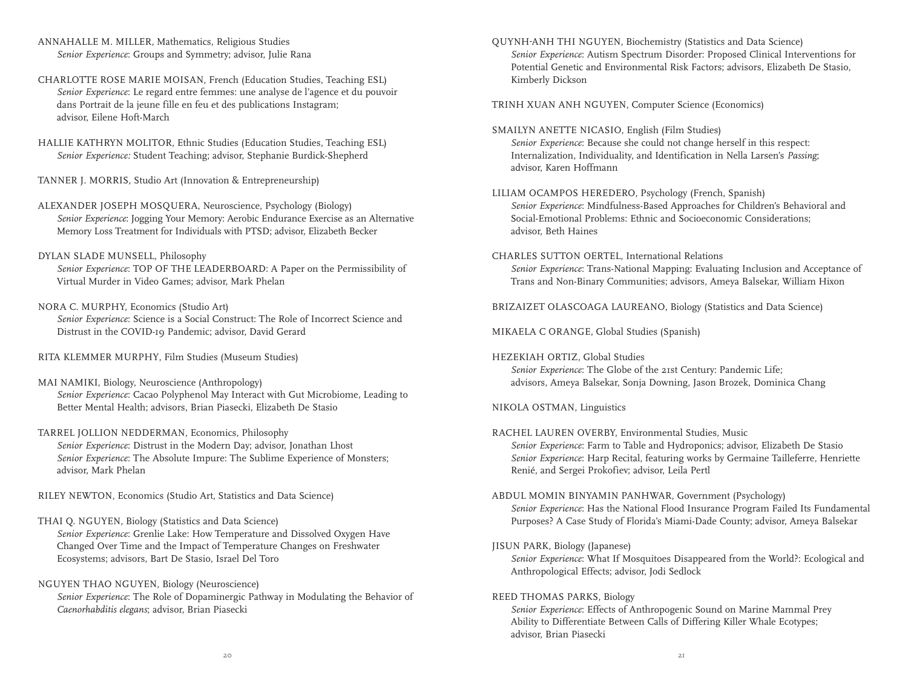ANNAHALLE M. MILLER, Mathematics, Religious Studies *Senior Experience*: Groups and Symmetry; advisor, Julie Rana

CHARLOTTE ROSE MARIE MOISAN, French (Education Studies, Teaching ESL) *Senior Experience*: Le regard entre femmes: une analyse de l'agence et du pouvoir dans Portrait de la jeune fille en feu et des publications Instagram; advisor, Eilene Hoft-March

HALLIE KATHRYN MOLITOR, Ethnic Studies (Education Studies, Teaching ESL) *Senior Experience:* Student Teaching; advisor, Stephanie Burdick-Shepherd

TANNER J. MORRIS, Studio Art (Innovation & Entrepreneurship)

ALEXANDER JOSEPH MOSQUERA, Neuroscience, Psychology (Biology) *Senior Experience*: Jogging Your Memory: Aerobic Endurance Exercise as an Alternative Memory Loss Treatment for Individuals with PTSD; advisor, Elizabeth Becker

DYLAN SLADE MUNSELL, Philosophy *Senior Experience*: TOP OF THE LEADERBOARD: A Paper on the Permissibility of Virtual Murder in Video Games; advisor, Mark Phelan

NORA C. MURPHY, Economics (Studio Art) *Senior Experience*: Science is a Social Construct: The Role of Incorrect Science and Distrust in the COVID-19 Pandemic; advisor, David Gerard

RITA KLEMMER MURPHY, Film Studies (Museum Studies)

- MAI NAMIKI, Biology, Neuroscience (Anthropology) *Senior Experience*: Cacao Polyphenol May Interact with Gut Microbiome, Leading to Better Mental Health; advisors, Brian Piasecki, Elizabeth De Stasio
- TARREL JOLLION NEDDERMAN, Economics, Philosophy *Senior Experience*: Distrust in the Modern Day; advisor, Jonathan Lhost *Senior Experience*: The Absolute Impure: The Sublime Experience of Monsters; advisor, Mark Phelan

RILEY NEWTON, Economics (Studio Art, Statistics and Data Science)

- THAI Q. NGUYEN, Biology (Statistics and Data Science) *Senior Experience*: Grenlie Lake: How Temperature and Dissolved Oxygen Have Changed Over Time and the Impact of Temperature Changes on Freshwater Ecosystems; advisors, Bart De Stasio, Israel Del Toro
- NGUYEN THAO NGUYEN, Biology (Neuroscience) *Senior Experience*: The Role of Dopaminergic Pathway in Modulating the Behavior of *Caenorhabditis elegans*; advisor, Brian Piasecki

QUYNH-ANH THI NGUYEN, Biochemistry (Statistics and Data Science) *Senior Experience*: Autism Spectrum Disorder: Proposed Clinical Interventions for Potential Genetic and Environmental Risk Factors; advisors, Elizabeth De Stasio, Kimberly Dickson

TRINH XUAN ANH NGUYEN, Computer Science (Economics)

SMAILYN ANETTE NICASIO, English (Film Studies) *Senior Experience*: Because she could not change herself in this respect: Internalization, Individuality, and Identification in Nella Larsen's *Passing*; advisor, Karen Hoffmann

LILIAM OCAMPOS HEREDERO, Psychology (French, Spanish) *Senior Experience*: Mindfulness-Based Approaches for Children's Behavioral and Social-Emotional Problems: Ethnic and Socioeconomic Considerations; advisor, Beth Haines

CHARLES SUTTON OERTEL, International Relations *Senior Experience*: Trans-National Mapping: Evaluating Inclusion and Acceptance of Trans and Non-Binary Communities; advisors, Ameya Balsekar, William Hixon

BRIZAIZET OLASCOAGA LAUREANO, Biology (Statistics and Data Science)

MIKAELA C ORANGE, Global Studies (Spanish)

HEZEKIAH ORTIZ, Global Studies *Senior Experience*: The Globe of the 21st Century: Pandemic Life; advisors, Ameya Balsekar, Sonja Downing, Jason Brozek, Dominica Chang

#### NIKOLA OSTMAN, Linguistics

- RACHEL LAUREN OVERBY, Environmental Studies, Music *Senior Experience*: Farm to Table and Hydroponics; advisor, Elizabeth De Stasio *Senior Experience*: Harp Recital, featuring works by Germaine Tailleferre, Henriette Renié, and Sergei Prokofiev; advisor, Leila Pertl
- ABDUL MOMIN BINYAMIN PANHWAR, Government (Psychology) *Senior Experience*: Has the National Flood Insurance Program Failed Its Fundamental Purposes? A Case Study of Florida's Miami-Dade County; advisor, Ameya Balsekar
- JISUN PARK, Biology (Japanese)

 *Senior Experience*: What If Mosquitoes Disappeared from the World?: Ecological and Anthropological Effects; advisor, Jodi Sedlock

#### REED THOMAS PARKS, Biology

 *Senior Experience*: Effects of Anthropogenic Sound on Marine Mammal Prey Ability to Differentiate Between Calls of Differing Killer Whale Ecotypes; advisor, Brian Piasecki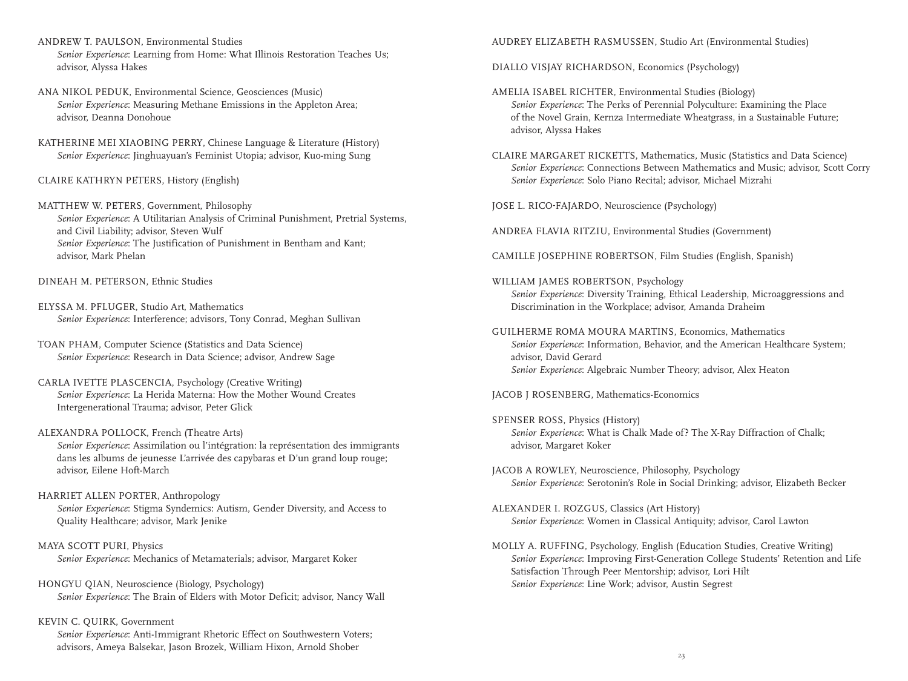- ANDREW T. PAULSON, Environmental Studies *Senior Experience*: Learning from Home: What Illinois Restoration Teaches Us; advisor, Alyssa Hakes
- ANA NIKOL PEDUK, Environmental Science, Geosciences (Music) *Senior Experience*: Measuring Methane Emissions in the Appleton Area; advisor, Deanna Donohoue
- KATHERINE MEI XIAOBING PERRY, Chinese Language & Literature (History) *Senior Experience*: Jinghuayuan's Feminist Utopia; advisor, Kuo-ming Sung
- CLAIRE KATHRYN PETERS, History (English)
- MATTHEW W. PETERS, Government, Philosophy *Senior Experience*: A Utilitarian Analysis of Criminal Punishment, Pretrial Systems, and Civil Liability; advisor, Steven Wulf *Senior Experience*: The Justification of Punishment in Bentham and Kant; advisor, Mark Phelan
- DINEAH M. PETERSON, Ethnic Studies
- ELYSSA M. PFLUGER, Studio Art, Mathematics *Senior Experience*: Interference; advisors, Tony Conrad, Meghan Sullivan
- TOAN PHAM, Computer Science (Statistics and Data Science) *Senior Experience*: Research in Data Science; advisor, Andrew Sage
- CARLA IVETTE PLASCENCIA, Psychology (Creative Writing) *Senior Experience*: La Herida Materna: How the Mother Wound Creates Intergenerational Trauma; advisor, Peter Glick
- ALEXANDRA POLLOCK, French (Theatre Arts)

 *Senior Experience*: Assimilation ou l'intégration: la représentation des immigrants dans les albums de jeunesse L'arrivée des capybaras et D'un grand loup rouge; advisor, Eilene Hoft-March

- HARRIET ALLEN PORTER, Anthropology *Senior Experience*: Stigma Syndemics: Autism, Gender Diversity, and Access to Quality Healthcare; advisor, Mark Jenike
- MAYA SCOTT PURI, Physics *Senior Experience*: Mechanics of Metamaterials; advisor, Margaret Koker
- HONGYU QIAN, Neuroscience (Biology, Psychology) *Senior Experience*: The Brain of Elders with Motor Deficit; advisor, Nancy Wall
- KEVIN C. QUIRK, Government

 *Senior Experience*: Anti-Immigrant Rhetoric Effect on Southwestern Voters; advisors, Ameya Balsekar, Jason Brozek, William Hixon, Arnold Shober

AUDREY ELIZABETH RASMUSSEN, Studio Art (Environmental Studies)

DIALLO VISJAY RICHARDSON, Economics (Psychology)

- AMELIA ISABEL RICHTER, Environmental Studies (Biology) *Senior Experience*: The Perks of Perennial Polyculture: Examining the Place of the Novel Grain, Kernza Intermediate Wheatgrass, in a Sustainable Future; advisor, Alyssa Hakes
- CLAIRE MARGARET RICKETTS, Mathematics, Music (Statistics and Data Science) *Senior Experience*: Connections Between Mathematics and Music; advisor, Scott Corry *Senior Experience*: Solo Piano Recital; advisor, Michael Mizrahi

JOSE L. RICO-FAJARDO, Neuroscience (Psychology)

ANDREA FLAVIA RITZIU, Environmental Studies (Government)

- CAMILLE JOSEPHINE ROBERTSON, Film Studies (English, Spanish)
- WILLIAM JAMES ROBERTSON, Psychology *Senior Experience*: Diversity Training, Ethical Leadership, Microaggressions and Discrimination in the Workplace; advisor, Amanda Draheim
- GUILHERME ROMA MOURA MARTINS, Economics, Mathematics *Senior Experience*: Information, Behavior, and the American Healthcare System; advisor, David Gerard *Senior Experience*: Algebraic Number Theory; advisor, Alex Heaton
- JACOB J ROSENBERG, Mathematics-Economics
- SPENSER ROSS, Physics (History) *Senior Experience*: What is Chalk Made of? The X-Ray Diffraction of Chalk; advisor, Margaret Koker
- JACOB A ROWLEY, Neuroscience, Philosophy, Psychology *Senior Experience*: Serotonin's Role in Social Drinking; advisor, Elizabeth Becker
- ALEXANDER I. ROZGUS, Classics (Art History) *Senior Experience*: Women in Classical Antiquity; advisor, Carol Lawton
- MOLLY A. RUFFING, Psychology, English (Education Studies, Creative Writing) *Senior Experience*: Improving First-Generation College Students' Retention and Life Satisfaction Through Peer Mentorship; advisor, Lori Hilt *Senior Experience*: Line Work; advisor, Austin Segrest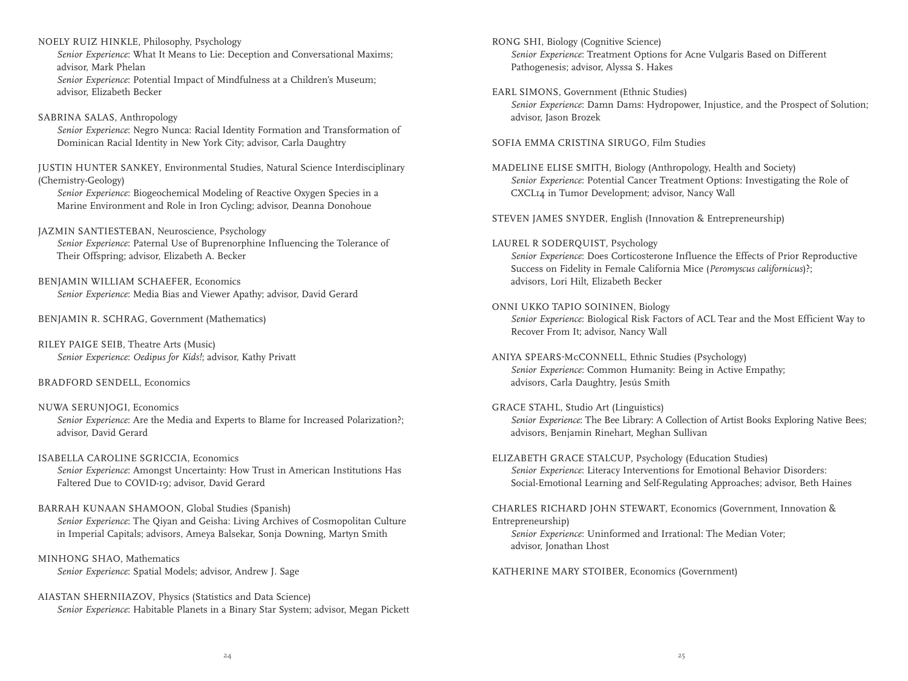NOELY RUIZ HINKLE, Philosophy, Psychology

 *Senior Experience*: What It Means to Lie: Deception and Conversational Maxims; advisor, Mark Phelan

 *Senior Experience*: Potential Impact of Mindfulness at a Children's Museum; advisor, Elizabeth Becker

#### SABRINA SALAS, Anthropology

 *Senior Experience*: Negro Nunca: Racial Identity Formation and Transformation of Dominican Racial Identity in New York City; advisor, Carla Daughtry

JUSTIN HUNTER SANKEY, Environmental Studies, Natural Science Interdisciplinary (Chemistry-Geology)

 *Senior Experience*: Biogeochemical Modeling of Reactive Oxygen Species in a Marine Environment and Role in Iron Cycling; advisor, Deanna Donohoue

JAZMIN SANTIESTEBAN, Neuroscience, Psychology *Senior Experience*: Paternal Use of Buprenorphine Influencing the Tolerance of Their Offspring; advisor, Elizabeth A. Becker

BENJAMIN WILLIAM SCHAEFER, Economics *Senior Experience*: Media Bias and Viewer Apathy; advisor, David Gerard

BENJAMIN R. SCHRAG, Government (Mathematics)

RILEY PAIGE SEIB, Theatre Arts (Music) *Senior Experience*: *Oedipus for Kids!*; advisor, Kathy Privatt

#### BRADFORD SENDELL, Economics

- NUWA SERUNJOGI, Economics *Senior Experience*: Are the Media and Experts to Blame for Increased Polarization?; advisor, David Gerard
- ISABELLA CAROLINE SGRICCIA, Economics *Senior Experience*: Amongst Uncertainty: How Trust in American Institutions Has Faltered Due to COVID-19; advisor, David Gerard
- BARRAH KUNAAN SHAMOON, Global Studies (Spanish) *Senior Experience*: The Qiyan and Geisha: Living Archives of Cosmopolitan Culture in Imperial Capitals; advisors, Ameya Balsekar, Sonja Downing, Martyn Smith
- MINHONG SHAO, Mathematics *Senior Experience*: Spatial Models; advisor, Andrew J. Sage

AIASTAN SHERNIIAZOV, Physics (Statistics and Data Science) *Senior Experience*: Habitable Planets in a Binary Star System; advisor, Megan Pickett RONG SHI, Biology (Cognitive Science) *Senior Experience*: Treatment Options for Acne Vulgaris Based on Different Pathogenesis; advisor, Alyssa S. Hakes

EARL SIMONS, Government (Ethnic Studies)

 *Senior Experience*: Damn Dams: Hydropower, Injustice, and the Prospect of Solution; advisor, Jason Brozek

SOFIA EMMA CRISTINA SIRUGO, Film Studies

MADELINE ELISE SMITH, Biology (Anthropology, Health and Society) *Senior Experience*: Potential Cancer Treatment Options: Investigating the Role of CXCL14 in Tumor Development; advisor, Nancy Wall

STEVEN JAMES SNYDER, English (Innovation & Entrepreneurship)

- LAUREL R SODERQUIST, Psychology *Senior Experience*: Does Corticosterone Influence the Effects of Prior Reproductive Success on Fidelity in Female California Mice (*Peromyscus californicus*)?; advisors, Lori Hilt, Elizabeth Becker
- ONNI UKKO TAPIO SOININEN, Biology

 *Senior Experience*: Biological Risk Factors of ACL Tear and the Most Efficient Way to Recover From It; advisor, Nancy Wall

- ANIYA SPEARS-McCONNELL, Ethnic Studies (Psychology) *Senior Experience*: Common Humanity: Being in Active Empathy; advisors, Carla Daughtry, Jesús Smith
- GRACE STAHL, Studio Art (Linguistics) *Senior Experience*: The Bee Library: A Collection of Artist Books Exploring Native Bees; advisors, Benjamin Rinehart, Meghan Sullivan
- ELIZABETH GRACE STALCUP, Psychology (Education Studies) *Senior Experience*: Literacy Interventions for Emotional Behavior Disorders: Social-Emotional Learning and Self-Regulating Approaches; advisor, Beth Haines

CHARLES RICHARD JOHN STEWART, Economics (Government, Innovation & Entrepreneurship) *Senior Experience*: Uninformed and Irrational: The Median Voter; advisor, Jonathan Lhost

KATHERINE MARY STOIBER, Economics (Government)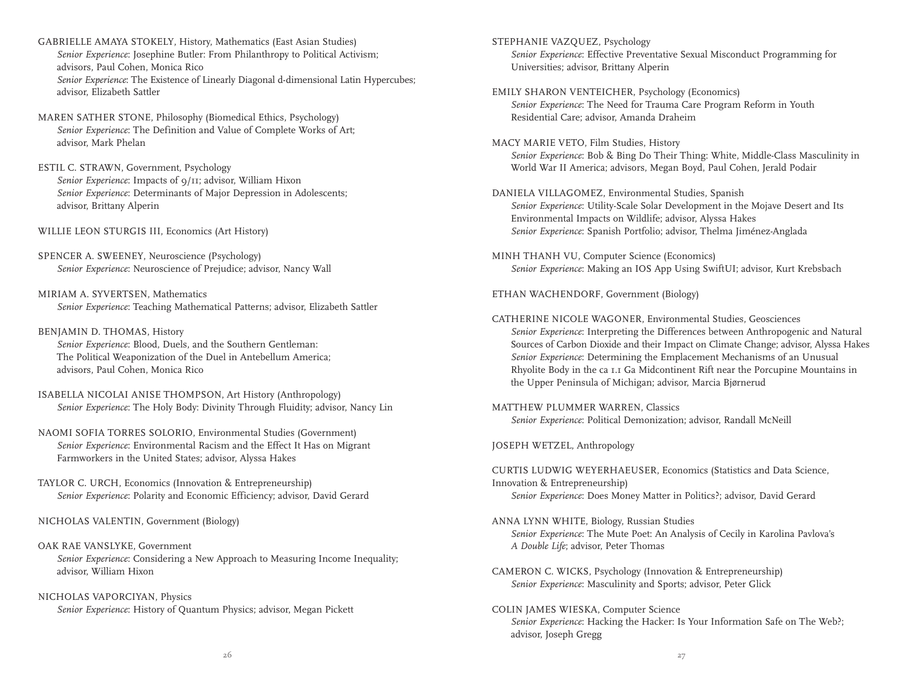GABRIELLE AMAYA STOKELY, History, Mathematics (East Asian Studies) *Senior Experience*: Josephine Butler: From Philanthropy to Political Activism; advisors, Paul Cohen, Monica Rico *Senior Experience*: The Existence of Linearly Diagonal d-dimensional Latin Hypercubes; advisor, Elizabeth Sattler

MAREN SATHER STONE, Philosophy (Biomedical Ethics, Psychology) *Senior Experience*: The Definition and Value of Complete Works of Art; advisor, Mark Phelan

ESTIL C. STRAWN, Government, Psychology *Senior Experience*: Impacts of 9/11; advisor, William Hixon *Senior Experience*: Determinants of Major Depression in Adolescents; advisor, Brittany Alperin

WILLIE LEON STURGIS III, Economics (Art History)

SPENCER A. SWEENEY, Neuroscience (Psychology) *Senior Experience*: Neuroscience of Prejudice; advisor, Nancy Wall

MIRIAM A. SYVERTSEN, Mathematics *Senior Experience*: Teaching Mathematical Patterns; advisor, Elizabeth Sattler

#### BENJAMIN D. THOMAS, History *Senior Experience*: Blood, Duels, and the Southern Gentleman: The Political Weaponization of the Duel in Antebellum America; advisors, Paul Cohen, Monica Rico

ISABELLA NICOLAI ANISE THOMPSON, Art History (Anthropology) *Senior Experience*: The Holy Body: Divinity Through Fluidity; advisor, Nancy Lin

NAOMI SOFIA TORRES SOLORIO, Environmental Studies (Government) *Senior Experience*: Environmental Racism and the Effect It Has on Migrant Farmworkers in the United States; advisor, Alyssa Hakes

TAYLOR C. URCH, Economics (Innovation & Entrepreneurship) *Senior Experience*: Polarity and Economic Efficiency; advisor, David Gerard

NICHOLAS VALENTIN, Government (Biology)

- OAK RAE VANSLYKE, Government *Senior Experience*: Considering a New Approach to Measuring Income Inequality; advisor, William Hixon
- NICHOLAS VAPORCIYAN, Physics *Senior Experience*: History of Quantum Physics; advisor, Megan Pickett

STEPHANIE VAZQUEZ, Psychology *Senior Experience*: Effective Preventative Sexual Misconduct Programming for Universities; advisor, Brittany Alperin

EMILY SHARON VENTEICHER, Psychology (Economics) *Senior Experience*: The Need for Trauma Care Program Reform in Youth Residential Care; advisor, Amanda Draheim

MACY MARIE VETO, Film Studies, History *Senior Experience*: Bob & Bing Do Their Thing: White, Middle-Class Masculinity in World War II America; advisors, Megan Boyd, Paul Cohen, Jerald Podair

DANIELA VILLAGOMEZ, Environmental Studies, Spanish *Senior Experience*: Utility-Scale Solar Development in the Mojave Desert and Its Environmental Impacts on Wildlife; advisor, Alyssa Hakes *Senior Experience*: Spanish Portfolio; advisor, Thelma Jiménez-Anglada

MINH THANH VU, Computer Science (Economics) *Senior Experience*: Making an IOS App Using SwiftUI; advisor, Kurt Krebsbach

ETHAN WACHENDORF, Government (Biology)

CATHERINE NICOLE WAGONER, Environmental Studies, Geosciences *Senior Experience*: Interpreting the Differences between Anthropogenic and Natural Sources of Carbon Dioxide and their Impact on Climate Change; advisor, Alyssa Hakes *Senior Experience*: Determining the Emplacement Mechanisms of an Unusual Rhyolite Body in the ca 1.1 Ga Midcontinent Rift near the Porcupine Mountains in the Upper Peninsula of Michigan; advisor, Marcia BjØrnerud

MATTHEW PLUMMER WARREN, Classics *Senior Experience*: Political Demonization; advisor, Randall McNeill

JOSEPH WETZEL, Anthropology

CURTIS LUDWIG WEYERHAEUSER, Economics (Statistics and Data Science, Innovation & Entrepreneurship) *Senior Experience*: Does Money Matter in Politics?; advisor, David Gerard

- ANNA LYNN WHITE, Biology, Russian Studies *Senior Experience*: The Mute Poet: An Analysis of Cecily in Karolina Pavlova's *A Double Life*; advisor, Peter Thomas
- CAMERON C. WICKS, Psychology (Innovation & Entrepreneurship) *Senior Experience*: Masculinity and Sports; advisor, Peter Glick
- COLIN JAMES WIESKA, Computer Science *Senior Experience*: Hacking the Hacker: Is Your Information Safe on The Web?; advisor, Joseph Gregg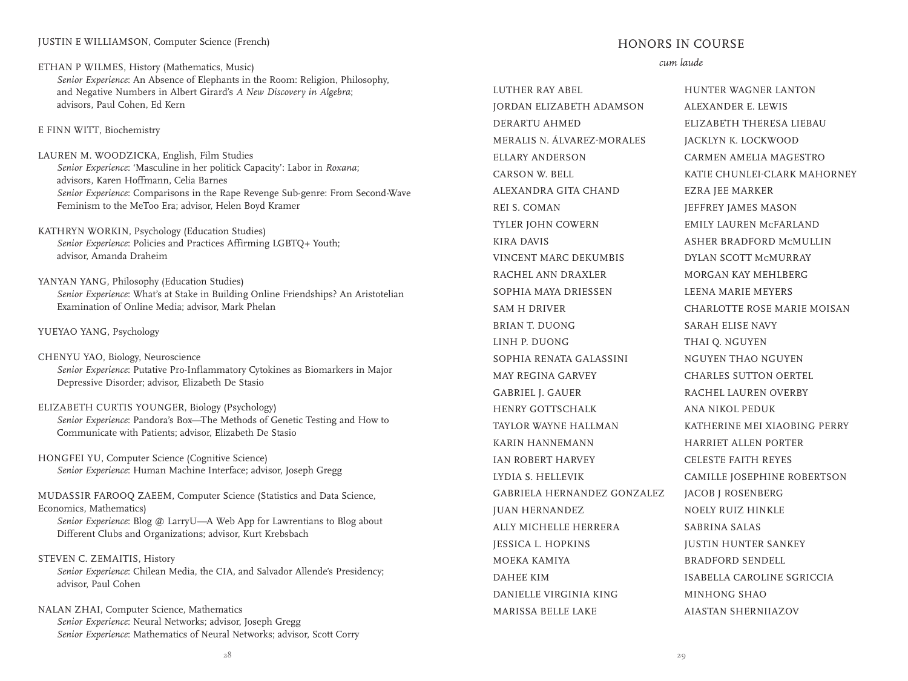#### JUSTIN E WILLIAMSON, Computer Science (French)

ETHAN P WILMES, History (Mathematics, Music)

 *Senior Experience*: An Absence of Elephants in the Room: Religion, Philosophy, and Negative Numbers in Albert Girard's *A New Discovery in Algebra*; advisors, Paul Cohen, Ed Kern

E FINN WITT, Biochemistry

- LAUREN M. WOODZICKA, English, Film Studies *Senior Experience*: 'Masculine in her politick Capacity': Labor in *Roxana*; advisors, Karen Hoffmann, Celia Barnes *Senior Experience*: Comparisons in the Rape Revenge Sub-genre: From Second-Wave Feminism to the MeToo Era; advisor, Helen Boyd Kramer
- KATHRYN WORKIN, Psychology (Education Studies) *Senior Experience*: Policies and Practices Affirming LGBTQ+ Youth; advisor, Amanda Draheim
- YANYAN YANG, Philosophy (Education Studies) *Senior Experience*: What's at Stake in Building Online Friendships? An Aristotelian Examination of Online Media; advisor, Mark Phelan

#### YUEYAO YANG, Psychology

- CHENYU YAO, Biology, Neuroscience *Senior Experience*: Putative Pro-Inflammatory Cytokines as Biomarkers in Major Depressive Disorder; advisor, Elizabeth De Stasio
- ELIZABETH CURTIS YOUNGER, Biology (Psychology) *Senior Experience*: Pandora's Box—The Methods of Genetic Testing and How to Communicate with Patients; advisor, Elizabeth De Stasio
- HONGFEI YU, Computer Science (Cognitive Science) *Senior Experience*: Human Machine Interface; advisor, Joseph Gregg

MUDASSIR FAROOQ ZAEEM, Computer Science (Statistics and Data Science, Economics, Mathematics) *Senior Experience*: Blog @ LarryU—A Web App for Lawrentians to Blog about Different Clubs and Organizations; advisor, Kurt Krebsbach

- STEVEN C. ZEMAITIS, History *Senior Experience*: Chilean Media, the CIA, and Salvador Allende's Presidency; advisor, Paul Cohen
- NALAN ZHAI, Computer Science, Mathematics *Senior Experience*: Neural Networks; advisor, Joseph Gregg *Senior Experience*: Mathematics of Neural Networks; advisor, Scott Corry

#### HONORS IN COURSE

#### *cum laude*

LUTHER RAY ABEL JORDAN ELIZABETH ADAMSON DERARTU AHMED MERALIS N. ÁLVAREZ-MORALES ELLARY ANDERSON CARSON W. BELL ALEXANDRA GITA CHAND REI S. COMAN TYLER JOHN COWERN KIRA DAVIS VINCENT MARC DEKUMBIS RACHEL ANN DRAXLER SOPHIA MAYA DRIESSEN SAM H DRIVER BRIAN T. DUONG LINH P. DUONG SOPHIA RENATA GALASSINI MAY REGINA GARVEY GABRIEL J. GAUER HENRY GOTTSCHALK TAYLOR WAYNE HALLMAN KARIN HANNEMANN IAN ROBERT HARVEY LYDIA S. HELLEVIK GABRIELA HERNANDEZ GONZALEZ JUAN HERNANDEZ ALLY MICHELLE HERRERA JESSICA L. HOPKINS MOEKA KAMIYA DAHEE KIM DANIELLE VIRGINIA KING MARISSA BELLE LAKE

HUNTER WAGNER LANTON ALEXANDER E. LEWIS ELIZABETH THERESA LIEBAU JACKLYN K. LOCKWOOD CARMEN AMELIA MAGESTRO KATIE CHUNLEI-CLARK MAHORNEY EZRA JEE MARKER JEFFREY JAMES MASON EMILY LAUREN McFARLAND ASHER BRADFORD McMULLIN DYLAN SCOTT McMURRAY MORGAN KAY MEHLBERG LEENA MARIE MEYERS CHARLOTTE ROSE MARIE MOISAN SARAH ELISE NAVY THAI Q. NGUYEN NGUYEN THAO NGUYEN CHARLES SUTTON OERTEL RACHEL LAUREN OVERBY ANA NIKOL PEDUK KATHERINE MEI XIAOBING PERRY HARRIET ALLEN PORTER CELESTE FAITH REYES CAMILLE JOSEPHINE ROBERTSON JACOB J ROSENBERG NOELY RUIZ HINKLE SABRINA SALAS JUSTIN HUNTER SANKEY BRADFORD SENDELL ISABELLA CAROLINE SGRICCIA MINHONG SHAO AIASTAN SHERNIIAZOV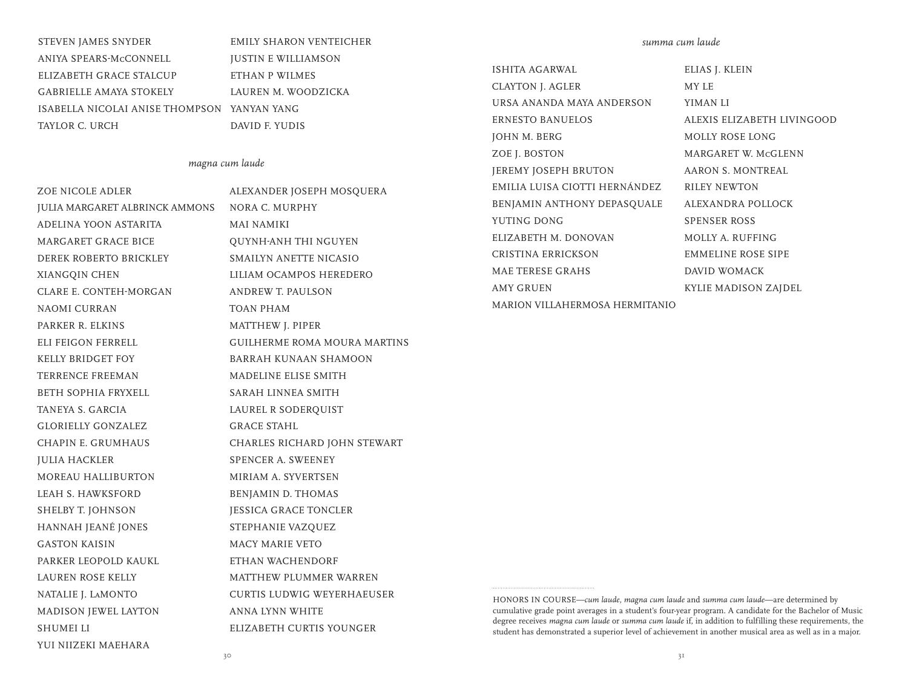STEVEN JAMES SNYDER ANIYA SPEARS-McCONNELL ELIZABETH GRACE STALCUP GABRIELLE AMAYA STOKELY ISABELLA NICOLAI ANISE THOMPSON YANYAN YANG TAYLOR C. URCH

## EMILY SHARON VENTEICHER JUSTIN E WILLIAMSON ETHAN P WILMES LAUREN M. WOODZICKA DAVID F. YUDIS

#### *magna cum laude*

ZOE NICOLE ADLER JULIA MARGARET ALBRINCK AMMONS ADELINA YOON ASTARITA MARGARET GRACE BICE DEREK ROBERTO BRICKLEY XIANGQIN CHEN CLARE E. CONTEH-MORGAN NAOMI CURRAN PARKER R. ELKINS ELI FEIGON FERRELL KELLY BRIDGET FOY TERRENCE FREEMAN BETH SOPHIA FRYXELL TANEYA S. GARCIA GLORIELLY GONZALEZ CHAPIN E. GRUMHAUS JULIA HACKLER MOREAU HALLIBURTON LEAH S. HAWKSFORD SHELBY T. JOHNSON HANNAH JEANÉ JONES GASTON KAISIN PARKER LEOPOLD KAUKL LAUREN ROSE KELLY NATALIE J. LaMONTO MADISON JEWEL LAYTON SHUMEI LI YUI NIIZEKI MAEHARA

ALEXANDER JOSEPH MOSQUERA NORA C. MURPHY MAI NAMIKI QUYNH-ANH THI NGUYEN SMAILYN ANETTE NICASIO LILIAM OCAMPOS HEREDERO ANDREW T. PAULSON TOAN PHAM MATTHEW J. PIPER GUILHERME ROMA MOURA MARTINS BARRAH KUNAAN SHAMOON MADELINE ELISE SMITH SARAH LINNEA SMITH LAUREL R SODERQUIST GRACE STAHL CHARLES RICHARD JOHN STEWART SPENCER A. SWEENEY MIRIAM A. SYVERTSEN BENJAMIN D. THOMAS JESSICA GRACE TONCLER STEPHANIE VAZQUEZ MACY MARIE VETO ETHAN WACHENDORF MATTHEW PLUMMER WARREN CURTIS LUDWIG WEYERHAEUSER ANNA LYNN WHITE ELIZABETH CURTIS YOUNGER

*summa cum laude*

ISHITA AGARWAL CLAYTON J. AGLER URSA ANANDA MAYA ANDERSON ERNESTO BANUELOS JOHN M. BERG ZOE J. BOSTON JEREMY JOSEPH BRUTON EMILIA LUISA CIOTTI HERNÁNDEZ BENJAMIN ANTHONY DEPASQUALE YUTING DONG ELIZABETH M. DONOVAN CRISTINA ERRICKSON MAE TERESE GRAHS AMY GRUEN MARION VILLAHERMOSA HERMITANIO MY LE

ELIAS J. KLEIN YIMAN LI ALEXIS ELIZABETH LIVINGOOD MOLLY ROSE LONG MARGARET W. McGLENN AARON S. MONTREAL RILEY NEWTON ALEXANDRA POLLOCK SPENSER ROSS MOLLY A. RUFFING EMMELINE ROSE SIPE DAVID WOMACK KYLIE MADISON ZAJDEL

HONORS IN COURSE—*cum laude, magna cum laude* and *summa cum laude*—are determined by cumulative grade point averages in a student's four-year program. A candidate for the Bachelor of Music degree receives *magna cum laude* or *summa cum laude* if, in addition to fulfilling these requirements, the student has demonstrated a superior level of achievement in another musical area as well as in a major.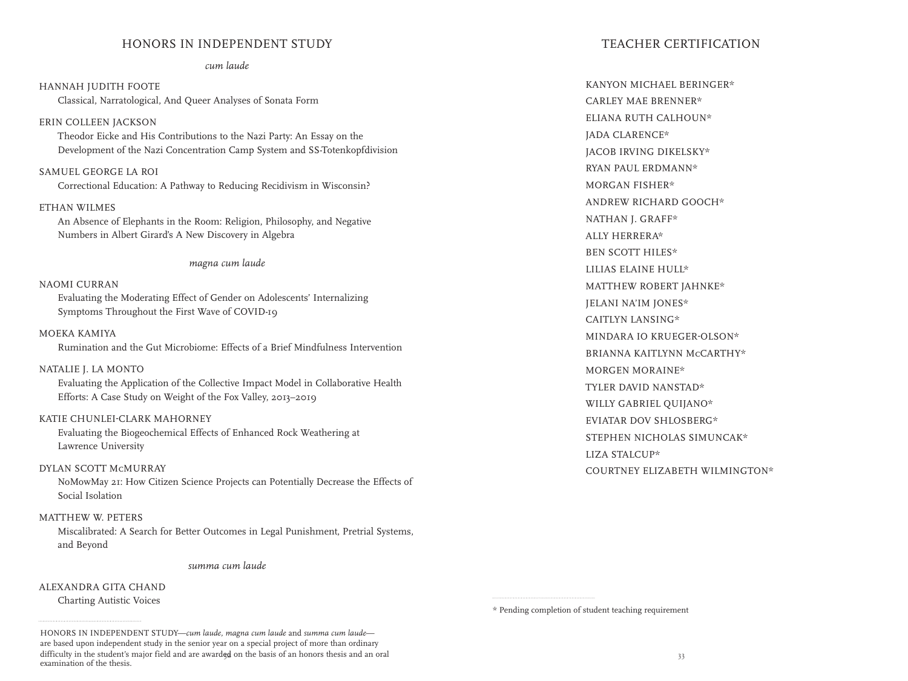#### HONORS IN INDEPENDENT STUDY

#### *cum laude*

HANNAH JUDITH FOOTE Classical, Narratological, And Queer Analyses of Sonata Form ERIN COLLEEN JACKSON

 Theodor Eicke and His Contributions to the Nazi Party: An Essay on the Development of the Nazi Concentration Camp System and SS-Totenkopfdivision

SAMUEL GEORGE LA ROI Correctional Education: A Pathway to Reducing Recidivism in Wisconsin?

#### ETHAN WILMES

 An Absence of Elephants in the Room: Religion, Philosophy, and Negative Numbers in Albert Girard's A New Discovery in Algebra

*magna cum laude*

#### NAOMI CURRAN

 Evaluating the Moderating Effect of Gender on Adolescents' Internalizing Symptoms Throughout the First Wave of COVID-19

MOEKA KAMIYA Rumination and the Gut Microbiome: Effects of a Brief Mindfulness Intervention

#### NATALIE J. LA MONTO

 Evaluating the Application of the Collective Impact Model in Collaborative Health Efforts: A Case Study on Weight of the Fox Valley, 2013–2019

#### KATIE CHUNLEI-CLARK MAHORNEY

 Evaluating the Biogeochemical Effects of Enhanced Rock Weathering at Lawrence University

#### DYLAN SCOTT McMURRAY

 NoMowMay 21: How Citizen Science Projects can Potentially Decrease the Effects of Social Isolation

#### MATTHEW W. PETERS

 Miscalibrated: A Search for Better Outcomes in Legal Punishment, Pretrial Systems, and Beyond

*summa cum laude*

#### ALEXANDRA GITA CHAND

Charting Autistic Voices

difficulty in the student's major field and are awarded on the basis of an honors thesis and an oral  $\frac{33}{2}$ HONORS IN INDEPENDENT STUDY-cum laude, magna cum laude and summa cum laudeare based upon independent study in the senior year on a special project of more than ordinary examination of the thesis.

#### TEACHER CERTIFICATION

KANYON MICHAEL BERINGER\* CARLEY MAE BRENNER\* ELIANA RUTH CALHOUN\* JADA CLARENCE\* JACOB IRVING DIKELSKY\* RYAN PAUL ERDMANN\* MORGAN FISHER\* ANDREW RICHARD GOOCH\* NATHAN J. GRAFF\* ALLY HERRERA\* BEN SCOTT HILES\* LILIAS ELAINE HULL\* MATTHEW ROBERT JAHNKE\* JELANI NA'IM JONES\* CAITLYN LANSING\* MINDARA IO KRUEGER-OLSON\* BRIANNA KAITLYNN McCARTHY\* MORGEN MORAINE\* TYLER DAVID NANSTAD\* WILLY GABRIEL QUIJANO\* EVIATAR DOV SHLOSBERG\* STEPHEN NICHOLAS SIMUNCAK\* LIZA STALCUP\* COURTNEY ELIZABETH WILMINGTON\*

\* Pending completion of student teaching requirement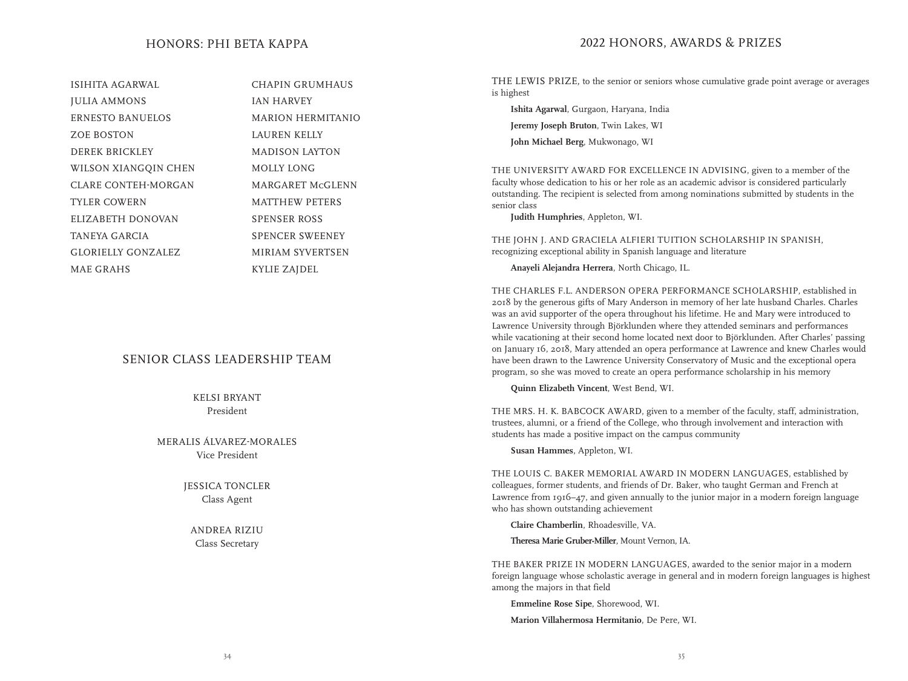#### HONORS: PHI BETA KAPPA

ISIHITA AGARWAL JULIA AMMONS ERNESTO BANUELOS ZOE BOSTON DEREK BRICKLEY WILSON XIANGQIN CHEN CLARE CONTEH-MORGAN TYLER COWERN ELIZABETH DONOVAN TANEYA GARCIA GLORIELLY GONZALEZ MAE GRAHS

CHAPIN GRUMHAUS IAN HARVEY MARION HERMITANIO LAUREN KELLY MADISON LAYTON MOLLY LONG MARGARET McGLENN MATTHEW PETERS SPENSER ROSS SPENCER SWEENEY MIRIAM SYVERTSEN KYLIE ZAJDEL

#### SENIOR CLASS LEADERSHIP TEAM

KELSI BRYANT President

MERALIS ÁLVAREZ-MORALES Vice President

> JESSICA TONCLER Class Agent

ANDREA RIZIU Class Secretary

#### 2022 HONORS, AWARDS & PRIZES

THE LEWIS PRIZE, to the senior or seniors whose cumulative grade point average or averages is highest

**Ishita Agarwal**, Gurgaon, Haryana, India **Jeremy Joseph Bruton**, Twin Lakes, WI **John Michael Berg**, Mukwonago, WI

THE UNIVERSITY AWARD FOR EXCELLENCE IN ADVISING, given to a member of the faculty whose dedication to his or her role as an academic advisor is considered particularly outstanding. The recipient is selected from among nominations submitted by students in the senior class

 **Judith Humphries**, Appleton, WI.

THE JOHN J. AND GRACIELA ALFIERI TUITION SCHOLARSHIP IN SPANISH, recognizing exceptional ability in Spanish language and literature

 **Anayeli Alejandra Herrera**, North Chicago, IL.

THE CHARLES F.L. ANDERSON OPERA PERFORMANCE SCHOLARSHIP, established in 2018 by the generous gifts of Mary Anderson in memory of her late husband Charles. Charles was an avid supporter of the opera throughout his lifetime. He and Mary were introduced to Lawrence University through Björklunden where they attended seminars and performances while vacationing at their second home located next door to Björklunden. After Charles' passing on January 16, 2018, Mary attended an opera performance at Lawrence and knew Charles would have been drawn to the Lawrence University Conservatory of Music and the exceptional opera program, so she was moved to create an opera performance scholarship in his memory

**Quinn Elizabeth Vincent**, West Bend, WI.

THE MRS. H. K. BABCOCK AWARD, given to a member of the faculty, staff, administration, trustees, alumni, or a friend of the College, who through involvement and interaction with students has made a positive impact on the campus community

 **Susan Hammes**, Appleton, WI.

THE LOUIS C. BAKER MEMORIAL AWARD IN MODERN LANGUAGES, established by colleagues, former students, and friends of Dr. Baker, who taught German and French at Lawrence from 1916–47, and given annually to the junior major in a modern foreign language who has shown outstanding achievement

 **Claire Chamberlin**, Rhoadesville, VA.

**Theresa Marie Gruber-Miller**, Mount Vernon, IA.

THE BAKER PRIZE IN MODERN LANGUAGES, awarded to the senior major in a modern foreign language whose scholastic average in general and in modern foreign languages is highest among the majors in that field

 **Emmeline Rose Sipe**, Shorewood, WI.

 **Marion Villahermosa Hermitanio**, De Pere, WI.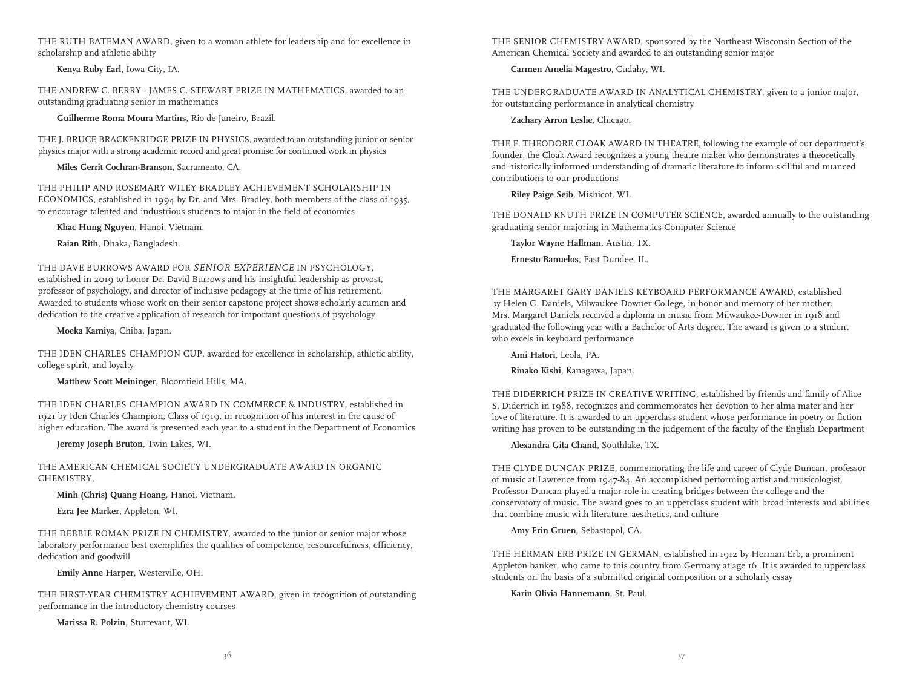THE RUTH BATEMAN AWARD, given to a woman athlete for leadership and for excellence in scholarship and athletic ability

 **Kenya Ruby Earl**, Iowa City, IA.

THE ANDREW C. BERRY - JAMES C. STEWART PRIZE IN MATHEMATICS, awarded to an outstanding graduating senior in mathematics

**Guilherme Roma Moura Martins**, Rio de Janeiro, Brazil.

THE J. BRUCE BRACKENRIDGE PRIZE IN PHYSICS, awarded to an outstanding junior or senior physics major with a strong academic record and great promise for continued work in physics

**Miles Gerrit Cochran-Branson**, Sacramento, CA.

THE PHILIP AND ROSEMARY WILEY BRADLEY ACHIEVEMENT SCHOLARSHIP IN ECONOMICS, established in 1994 by Dr. and Mrs. Bradley, both members of the class of 1935, to encourage talented and industrious students to major in the field of economics

 **Khac Hung Nguyen**, Hanoi, Vietnam.

**Raian Rith**, Dhaka, Bangladesh.

THE DAVE BURROWS AWARD FOR *SENIOR EXPERIENCE* IN PSYCHOLOGY, established in 2019 to honor Dr. David Burrows and his insightful leadership as provost, professor of psychology, and director of inclusive pedagogy at the time of his retirement. Awarded to students whose work on their senior capstone project shows scholarly acumen and dedication to the creative application of research for important questions of psychology

 **Moeka Kamiya**, Chiba, Japan.

THE IDEN CHARLES CHAMPION CUP, awarded for excellence in scholarship, athletic ability, college spirit, and loyalty

 **Matthew Scott Meininger**, Bloomfield Hills, MA.

THE IDEN CHARLES CHAMPION AWARD IN COMMERCE & INDUSTRY, established in 1921 by Iden Charles Champion, Class of 1919, in recognition of his interest in the cause of higher education. The award is presented each year to a student in the Department of Economics

 **Jeremy Joseph Bruton**, Twin Lakes, WI.

THE AMERICAN CHEMICAL SOCIETY UNDERGRADUATE AWARD IN ORGANIC CHEMISTRY,

 **Minh (Chris) Quang Hoang**, Hanoi, Vietnam.

 **Ezra Jee Marker**, Appleton, WI.

THE DEBBIE ROMAN PRIZE IN CHEMISTRY, awarded to the junior or senior major whose laboratory performance best exemplifies the qualities of competence, resourcefulness, efficiency, dedication and goodwill

 **Emily Anne Harper,** Westerville, OH.

THE FIRST-YEAR CHEMISTRY ACHIEVEMENT AWARD, given in recognition of outstanding performance in the introductory chemistry courses

 **Marissa R. Polzin**, Sturtevant, WI.

THE SENIOR CHEMISTRY AWARD, sponsored by the Northeast Wisconsin Section of the American Chemical Society and awarded to an outstanding senior major

 **Carmen Amelia Magestro**, Cudahy, WI.

THE UNDERGRADUATE AWARD IN ANALYTICAL CHEMISTRY, given to a junior major, for outstanding performance in analytical chemistry

 **Zachary Arron Leslie**, Chicago.

THE F. THEODORE CLOAK AWARD IN THEATRE, following the example of our department's founder, the Cloak Award recognizes a young theatre maker who demonstrates a theoretically and historically informed understanding of dramatic literature to inform skillful and nuanced contributions to our productions

 **Riley Paige Seib**, Mishicot, WI.

THE DONALD KNUTH PRIZE IN COMPUTER SCIENCE, awarded annually to the outstanding graduating senior majoring in Mathematics-Computer Science

**Taylor Wayne Hallman**, Austin, TX.

**Ernesto Banuelos**, East Dundee, IL.

THE MARGARET GARY DANIELS KEYBOARD PERFORMANCE AWARD, established by Helen G. Daniels, Milwaukee-Downer College, in honor and memory of her mother. Mrs. Margaret Daniels received a diploma in music from Milwaukee-Downer in 1918 and graduated the following year with a Bachelor of Arts degree. The award is given to a student who excels in keyboard performance

 **Ami Hatori**, Leola, PA.

 **Rinako Kishi**, Kanagawa, Japan.

THE DIDERRICH PRIZE IN CREATIVE WRITING, established by friends and family of Alice S. Diderrich in 1988, recognizes and commemorates her devotion to her alma mater and her love of literature. It is awarded to an upperclass student whose performance in poetry or fiction writing has proven to be outstanding in the judgement of the faculty of the English Department

**Alexandra Gita Chand**, Southlake, TX.

THE CLYDE DUNCAN PRIZE, commemorating the life and career of Clyde Duncan, professor of music at Lawrence from 1947-84. An accomplished performing artist and musicologist, Professor Duncan played a major role in creating bridges between the college and the conservatory of music. The award goes to an upperclass student with broad interests and abilities that combine music with literature, aesthetics, and culture

 **Amy Erin Gruen,** Sebastopol, CA.

THE HERMAN ERB PRIZE IN GERMAN, established in 1912 by Herman Erb, a prominent Appleton banker, who came to this country from Germany at age 16. It is awarded to upperclass students on the basis of a submitted original composition or a scholarly essay

 **Karin Olivia Hannemann**, St. Paul.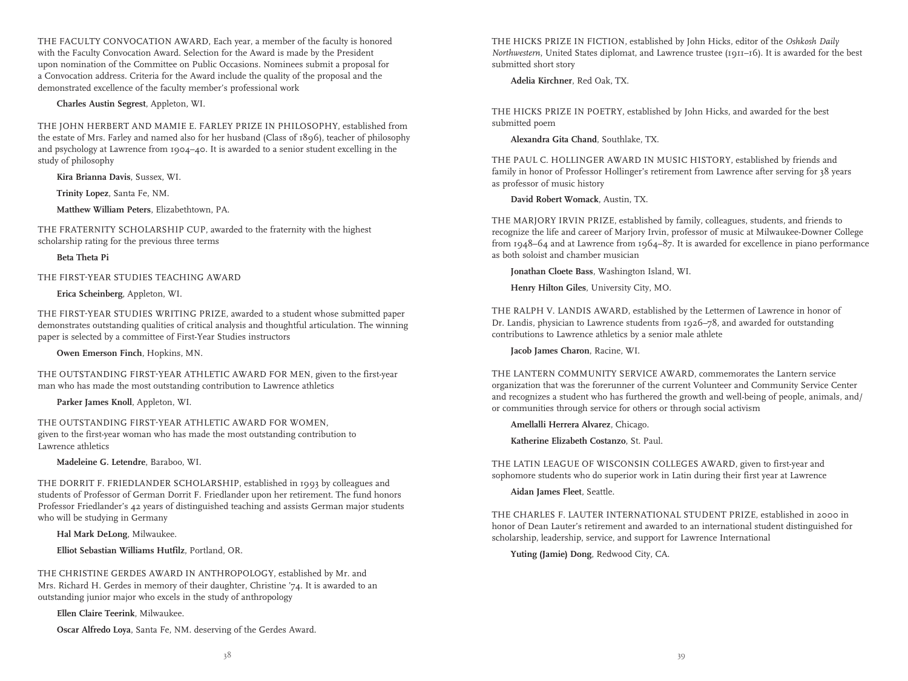THE FACULTY CONVOCATION AWARD, Each year, a member of the faculty is honored with the Faculty Convocation Award. Selection for the Award is made by the President upon nomination of the Committee on Public Occasions. Nominees submit a proposal for a Convocation address. Criteria for the Award include the quality of the proposal and the demonstrated excellence of the faculty member's professional work

#### **Charles Austin Segrest**, Appleton, WI.

THE JOHN HERBERT AND MAMIE E. FARLEY PRIZE IN PHILOSOPHY, established from the estate of Mrs. Farley and named also for her husband (Class of 1896), teacher of philosophy and psychology at Lawrence from 1904–40. It is awarded to a senior student excelling in the study of philosophy

 **Kira Brianna Davis**, Sussex, WI.

 **Trinity Lopez**, Santa Fe, NM.

 **Matthew William Peters**, Elizabethtown, PA.

THE FRATERNITY SCHOLARSHIP CUP, awarded to the fraternity with the highest scholarship rating for the previous three terms

#### **Beta Theta Pi**

THE FIRST-YEAR STUDIES TEACHING AWARD

#### **Erica Scheinberg**, Appleton, WI.

THE FIRST-YEAR STUDIES WRITING PRIZE, awarded to a student whose submitted paper demonstrates outstanding qualities of critical analysis and thoughtful articulation. The winning paper is selected by a committee of First-Year Studies instructors

 **Owen Emerson Finch**, Hopkins, MN.

THE OUTSTANDING FIRST-YEAR ATHLETIC AWARD FOR MEN, given to the first-year man who has made the most outstanding contribution to Lawrence athletics

 **Parker James Knoll**, Appleton, WI.

THE OUTSTANDING FIRST-YEAR ATHLETIC AWARD FOR WOMEN, given to the first-year woman who has made the most outstanding contribution to Lawrence athletics

 **Madeleine G. Letendre**, Baraboo, WI.

THE DORRIT F. FRIEDLANDER SCHOLARSHIP, established in 1993 by colleagues and students of Professor of German Dorrit F. Friedlander upon her retirement. The fund honors Professor Friedlander's 42 years of distinguished teaching and assists German major students who will be studying in Germany

 **Hal Mark DeLong**, Milwaukee.

 **Elliot Sebastian Williams Hutfilz**, Portland, OR.

THE CHRISTINE GERDES AWARD IN ANTHROPOLOGY, established by Mr. and Mrs. Richard H. Gerdes in memory of their daughter, Christine '74. It is awarded to an outstanding junior major who excels in the study of anthropology

**Ellen Claire Teerink**, Milwaukee.

**Oscar Alfredo Loya**, Santa Fe, NM. deserving of the Gerdes Award.

THE HICKS PRIZE IN FICTION, established by John Hicks, editor of the *Oshkosh Daily Northwestern*, United States diplomat, and Lawrence trustee (1911–16). It is awarded for the best submitted short story

#### **Adelia Kirchner**, Red Oak, TX.

THE HICKS PRIZE IN POETRY, established by John Hicks, and awarded for the best submitted poem

 **Alexandra Gita Chand**, Southlake, TX.

THE PAUL C. HOLLINGER AWARD IN MUSIC HISTORY, established by friends and family in honor of Professor Hollinger's retirement from Lawrence after serving for 38 years as professor of music history

 **David Robert Womack**, Austin, TX.

THE MARJORY IRVIN PRIZE, established by family, colleagues, students, and friends to recognize the life and career of Marjory Irvin, professor of music at Milwaukee-Downer College from 1948–64 and at Lawrence from 1964–87. It is awarded for excellence in piano performance as both soloist and chamber musician

 **Jonathan Cloete Bass**, Washington Island, WI.

 **Henry Hilton Giles**, University City, MO.

THE RALPH V. LANDIS AWARD, established by the Lettermen of Lawrence in honor of Dr. Landis, physician to Lawrence students from 1926–78, and awarded for outstanding contributions to Lawrence athletics by a senior male athlete

 **Jacob James Charon**, Racine, WI.

THE LANTERN COMMUNITY SERVICE AWARD, commemorates the Lantern service organization that was the forerunner of the current Volunteer and Community Service Center and recognizes a student who has furthered the growth and well-being of people, animals, and/ or communities through service for others or through social activism

 **Amellalli Herrera Alvarez**, Chicago.  **Katherine Elizabeth Costanzo**, St. Paul.

THE LATIN LEAGUE OF WISCONSIN COLLEGES AWARD, given to first-year and sophomore students who do superior work in Latin during their first year at Lawrence

 **Aidan James Fleet**, Seattle.

THE CHARLES F. LAUTER INTERNATIONAL STUDENT PRIZE, established in 2000 in honor of Dean Lauter's retirement and awarded to an international student distinguished for scholarship, leadership, service, and support for Lawrence International

 **Yuting (Jamie) Dong**, Redwood City, CA.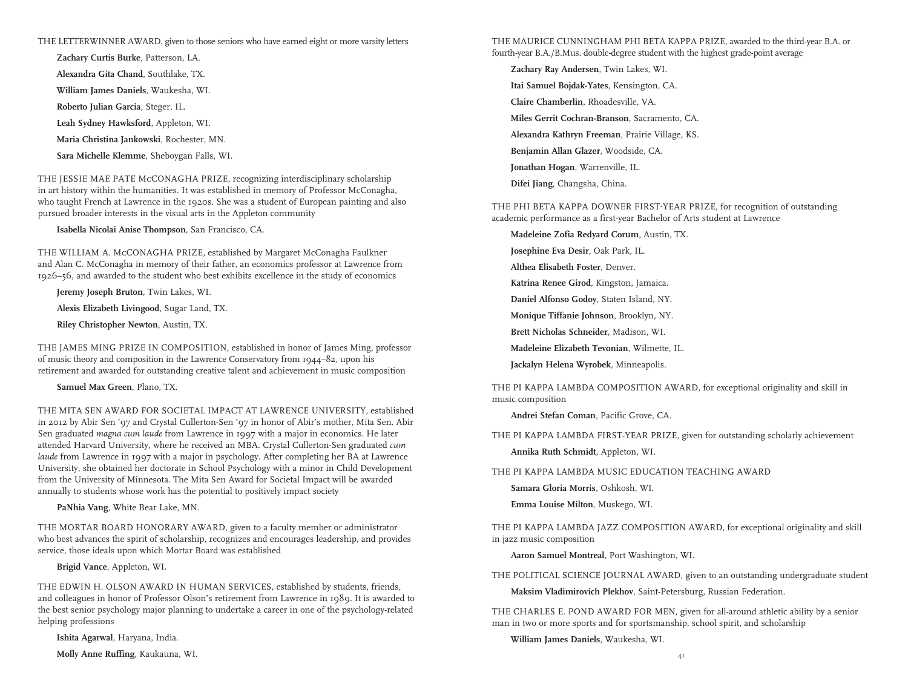#### THE LETTERWINNER AWARD, given to those seniors who have earned eight or more varsity letters

**Zachary Curtis Burke**, Patterson, LA. **Alexandra Gita Chand**, Southlake, TX. **William James Daniels**, Waukesha, WI. **Roberto Julian Garcia**, Steger, IL. **Leah Sydney Hawksford**, Appleton, WI. **Maria Christina Jankowski**, Rochester, MN. **Sara Michelle Klemme**, Sheboygan Falls, WI.

THE JESSIE MAE PATE McCONAGHA PRIZE, recognizing interdisciplinary scholarship in art history within the humanities. It was established in memory of Professor McConagha, who taught French at Lawrence in the 1920s. She was a student of European painting and also pursued broader interests in the visual arts in the Appleton community

 **Isabella Nicolai Anise Thompson**, San Francisco, CA.

THE WILLIAM A. McCONAGHA PRIZE, established by Margaret McConagha Faulkner and Alan C. McConagha in memory of their father, an economics professor at Lawrence from 1926–56, and awarded to the student who best exhibits excellence in the study of economics

 **Jeremy Joseph Bruton**, Twin Lakes, WI. **Alexis Elizabeth Livingood**, Sugar Land, TX.

**Riley Christopher Newton**, Austin, TX.

THE JAMES MING PRIZE IN COMPOSITION, established in honor of James Ming, professor of music theory and composition in the Lawrence Conservatory from 1944–82, upon his retirement and awarded for outstanding creative talent and achievement in music composition

 **Samuel Max Green**, Plano, TX.

THE MITA SEN AWARD FOR SOCIETAL IMPACT AT LAWRENCE UNIVERSITY, established in 2012 by Abir Sen '97 and Crystal Cullerton-Sen '97 in honor of Abir's mother, Mita Sen. Abir Sen graduated *magna cum laude* from Lawrence in 1997 with a major in economics. He later attended Harvard University, where he received an MBA. Crystal Cullerton-Sen graduated *cum laude* from Lawrence in 1997 with a major in psychology. After completing her BA at Lawrence University, she obtained her doctorate in School Psychology with a minor in Child Development from the University of Minnesota. The Mita Sen Award for Societal Impact will be awarded annually to students whose work has the potential to positively impact society

**PaNhia Vang**, White Bear Lake, MN.

THE MORTAR BOARD HONORARY AWARD, given to a faculty member or administrator who best advances the spirit of scholarship, recognizes and encourages leadership, and provides service, those ideals upon which Mortar Board was established

 **Brigid Vance**, Appleton, WI.

THE EDWIN H. OLSON AWARD IN HUMAN SERVICES, established by students, friends, and colleagues in honor of Professor Olson's retirement from Lawrence in 1989. It is awarded to the best senior psychology major planning to undertake a career in one of the psychology-related helping professions

 **Ishita Agarwal**, Haryana, India.

 **Molly Anne Ruffing**, Kaukauna, WI.

THE MAURICE CUNNINGHAM PHI BETA KAPPA PRIZE, awarded to the third-year B.A. or fourth-year B.A./B.Mus. double-degree student with the highest grade-point average

**Zachary Ray Andersen**, Twin Lakes, WI.

**Itai Samuel Bojdak-Yates**, Kensington, CA.

**Claire Chamberlin**, Rhoadesville, VA.

**Miles Gerrit Cochran-Branson**, Sacramento, CA.

**Alexandra Kathryn Freeman**, Prairie Village, KS.

**Benjamin Allan Glazer**, Woodside, CA.

**Jonathan Hogan**, Warrenville, IL.

**Difei Jiang**, Changsha, China.

THE PHI BETA KAPPA DOWNER FIRST-YEAR PRIZE, for recognition of outstanding academic performance as a first-year Bachelor of Arts student at Lawrence

**Madeleine Zofia Redyard Corum,** Austin, TX.

**Josephine Eva Desir**, Oak Park, IL.

**Althea Elisabeth Foster**, Denver.

**Katrina Renee Girod**, Kingston, Jamaica.

**Daniel Alfonso Godoy**, Staten Island, NY.

**Monique Tiffanie Johnson**, Brooklyn, NY.

**Brett Nicholas Schneider**, Madison, WI.

**Madeleine Elizabeth Tevonian**, Wilmette, IL.

**Jackalyn Helena Wyrobek**, Minneapolis.

THE PI KAPPA LAMBDA COMPOSITION AWARD, for exceptional originality and skill in music composition

**Andrei Stefan Coman**, Pacific Grove, CA.

THE PI KAPPA LAMBDA FIRST-YEAR PRIZE, given for outstanding scholarly achievement **Annika Ruth Schmidt**, Appleton, WI.

THE PI KAPPA LAMBDA MUSIC EDUCATION TEACHING AWARD

**Samara Gloria Morris**, Oshkosh, WI.

**Emma Louise Milton**, Muskego, WI.

THE PI KAPPA LAMBDA JAZZ COMPOSITION AWARD, for exceptional originality and skill in jazz music composition

**Aaron Samuel Montreal**, Port Washington, WI.

THE POLITICAL SCIENCE JOURNAL AWARD, given to an outstanding undergraduate student

**Maksim Vladimirovich Plekhov**, Saint-Petersburg, Russian Federation.

THE CHARLES E. POND AWARD FOR MEN, given for all-around athletic ability by a senior man in two or more sports and for sportsmanship, school spirit, and scholarship

 **William James Daniels**, Waukesha, WI.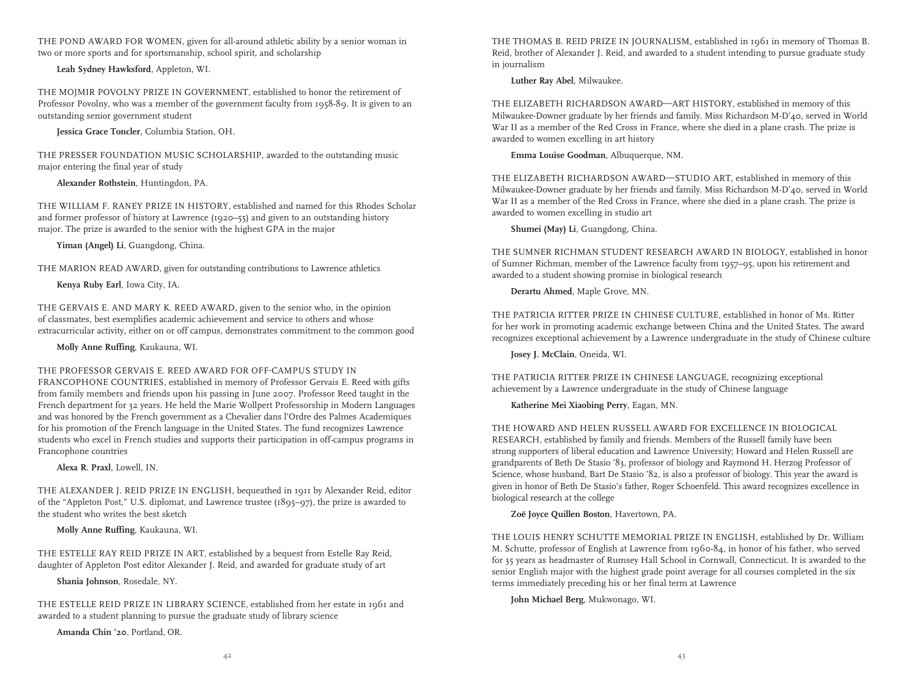THE POND AWARD FOR WOMEN, given for all-around athletic ability by a senior woman in two or more sports and for sportsmanship, school spirit, and scholarship

 **Leah Sydney Hawksford**, Appleton, WI.

THE MOJMIR POVOLNY PRIZE IN GOVERNMENT, established to honor the retirement of Professor Povolny, who was a member of the government faculty from 1958-89. It is given to an outstanding senior government student

**Jessica Grace Toncler**, Columbia Station, OH.

THE PRESSER FOUNDATION MUSIC SCHOLARSHIP, awarded to the outstanding music major entering the final year of study

**Alexander Rothstein**, Huntingdon, PA.

THE WILLIAM F. RANEY PRIZE IN HISTORY, established and named for this Rhodes Scholar and former professor of history at Lawrence (1920–55) and given to an outstanding history major. The prize is awarded to the senior with the highest GPA in the major

 **Yiman (Angel) Li**, Guangdong, China.

THE MARION READ AWARD, given for outstanding contributions to Lawrence athletics  **Kenya Ruby Earl**, Iowa City, IA.

THE GERVAIS E. AND MARY K. REED AWARD, given to the senior who, in the opinion of classmates, best exemplifies academic achievement and service to others and whose extracurricular activity, either on or off campus, demonstrates commitment to the common good

 **Molly Anne Ruffing**, Kaukauna, WI.

#### THE PROFESSOR GERVAIS E. REED AWARD FOR OFF-CAMPUS STUDY IN

FRANCOPHONE COUNTRIES, established in memory of Professor Gervais E. Reed with gifts from family members and friends upon his passing in June 2007. Professor Reed taught in the French department for 32 years. He held the Marie Wollpert Professorship in Modern Languages and was honored by the French government as a Chevalier dans l'Ordre des Palmes Academiques for his promotion of the French language in the United States. The fund recognizes Lawrence students who excel in French studies and supports their participation in off-campus programs in Francophone countries

 **Alexa R. Praxl**, Lowell, IN.

THE ALEXANDER J. REID PRIZE IN ENGLISH, bequeathed in 1911 by Alexander Reid, editor of the "Appleton Post," U.S. diplomat, and Lawrence trustee (1895–97), the prize is awarded to the student who writes the best sketch

 **Molly Anne Ruffing**, Kaukauna, WI.

THE ESTELLE RAY REID PRIZE IN ART, established by a bequest from Estelle Ray Reid, daughter of Appleton Post editor Alexander J. Reid, and awarded for graduate study of art

 **Shania Johnson**, Rosedale, NY.

THE ESTELLE REID PRIZE IN LIBRARY SCIENCE, established from her estate in 1961 and awarded to a student planning to pursue the graduate study of library science

 **Amanda Chin '20**, Portland, OR.

THE THOMAS B. REID PRIZE IN JOURNALISM, established in 1961 in memory of Thomas B. Reid, brother of Alexander J. Reid, and awarded to a student intending to pursue graduate study in journalism

**Luther Ray Abel**, Milwaukee.

THE ELIZABETH RICHARDSON AWARD—ART HISTORY, established in memory of this Milwaukee-Downer graduate by her friends and family. Miss Richardson M-D'40, served in World War II as a member of the Red Cross in France, where she died in a plane crash. The prize is awarded to women excelling in art history

 **Emma Louise Goodman**, Albuquerque, NM.

THE ELIZABETH RICHARDSON AWARD—STUDIO ART, established in memory of this Milwaukee-Downer graduate by her friends and family. Miss Richardson M-D'40, served in World War II as a member of the Red Cross in France, where she died in a plane crash. The prize is awarded to women excelling in studio art

 **Shumei (May) Li**, Guangdong, China.

THE SUMNER RICHMAN STUDENT RESEARCH AWARD IN BIOLOGY, established in honor of Sumner Richman, member of the Lawrence faculty from 1957–95, upon his retirement and awarded to a student showing promise in biological research

 **Derartu Ahmed**, Maple Grove, MN.

THE PATRICIA RITTER PRIZE IN CHINESE CULTURE, established in honor of Ms. Ritter for her work in promoting academic exchange between China and the United States. The award recognizes exceptional achievement by a Lawrence undergraduate in the study of Chinese culture

**Josey J. McClain**, Oneida, WI.

THE PATRICIA RITTER PRIZE IN CHINESE LANGUAGE, recognizing exceptional achievement by a Lawrence undergraduate in the study of Chinese language

**Katherine Mei Xiaobing Perry**, Eagan, MN.

THE HOWARD AND HELEN RUSSELL AWARD FOR EXCELLENCE IN BIOLOGICAL RESEARCH, established by family and friends. Members of the Russell family have been strong supporters of liberal education and Lawrence University; Howard and Helen Russell are grandparents of Beth De Stasio '83, professor of biology and Raymond H. Herzog Professor of Science, whose husband, Bart De Stasio '82, is also a professor of biology. This year the award is given in honor of Beth De Stasio's father, Roger Schoenfeld. This award recognizes excellence in biological research at the college

 **Zoë Joyce Quillen Boston**, Havertown, PA.

THE LOUIS HENRY SCHUTTE MEMORIAL PRIZE IN ENGLISH, established by Dr. William M. Schutte, professor of English at Lawrence from 1960-84, in honor of his father, who served for 35 years as headmaster of Rumsey Hall School in Cornwall, Connecticut. It is awarded to the senior English major with the highest grade point average for all courses completed in the six terms immediately preceding his or her final term at Lawrence

**John Michael Berg**, Mukwonago, WI.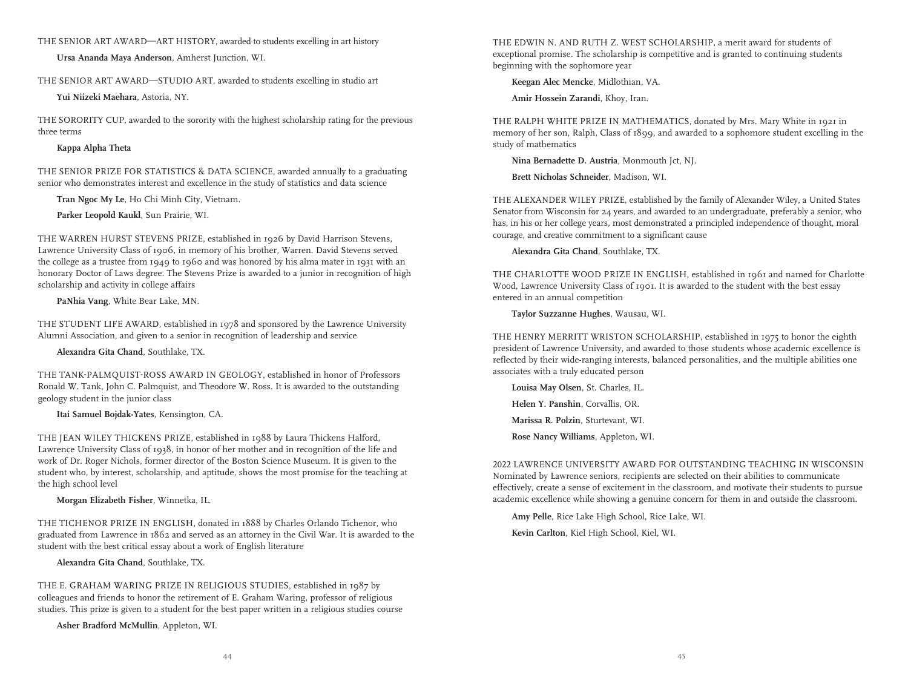THE SENIOR ART AWARD—ART HISTORY, awarded to students excelling in art history

 **Ursa Ananda Maya Anderson**, Amherst Junction, WI.

THE SENIOR ART AWARD—STUDIO ART, awarded to students excelling in studio art

 **Yui Niizeki Maehara**, Astoria, NY.

THE SORORITY CUP, awarded to the sorority with the highest scholarship rating for the previous three terms

#### **Kappa Alpha Theta**

THE SENIOR PRIZE FOR STATISTICS & DATA SCIENCE, awarded annually to a graduating senior who demonstrates interest and excellence in the study of statistics and data science

**Tran Ngoc My Le**, Ho Chi Minh City, Vietnam.

**Parker Leopold Kaukl**, Sun Prairie, WI.

THE WARREN HURST STEVENS PRIZE, established in 1926 by David Harrison Stevens, Lawrence University Class of 1906, in memory of his brother, Warren. David Stevens served the college as a trustee from 1949 to 1960 and was honored by his alma mater in 1931 with an honorary Doctor of Laws degree. The Stevens Prize is awarded to a junior in recognition of high scholarship and activity in college affairs

**PaNhia Vang**, White Bear Lake, MN.

THE STUDENT LIFE AWARD, established in 1978 and sponsored by the Lawrence University Alumni Association, and given to a senior in recognition of leadership and service

**Alexandra Gita Chand**, Southlake, TX.

THE TANK-PALMQUIST-ROSS AWARD IN GEOLOGY, established in honor of Professors Ronald W. Tank, John C. Palmquist, and Theodore W. Ross. It is awarded to the outstanding geology student in the junior class

 **Itai Samuel Bojdak-Yates**, Kensington, CA.

THE JEAN WILEY THICKENS PRIZE, established in 1988 by Laura Thickens Halford, Lawrence University Class of 1938, in honor of her mother and in recognition of the life and work of Dr. Roger Nichols, former director of the Boston Science Museum. It is given to the student who, by interest, scholarship, and aptitude, shows the most promise for the teaching at the high school level

 **Morgan Elizabeth Fisher**, Winnetka, IL.

THE TICHENOR PRIZE IN ENGLISH, donated in 1888 by Charles Orlando Tichenor, who graduated from Lawrence in 1862 and served as an attorney in the Civil War. It is awarded to the student with the best critical essay about a work of English literature

 **Alexandra Gita Chand**, Southlake, TX.

THE E. GRAHAM WARING PRIZE IN RELIGIOUS STUDIES, established in 1987 by colleagues and friends to honor the retirement of E. Graham Waring, professor of religious studies. This prize is given to a student for the best paper written in a religious studies course

 **Asher Bradford McMullin**, Appleton, WI.

THE EDWIN N. AND RUTH Z. WEST SCHOLARSHIP, a merit award for students of exceptional promise. The scholarship is competitive and is granted to continuing students beginning with the sophomore year

**Keegan Alec Mencke**, Midlothian, VA.

**Amir Hossein Zarandi**, Khoy, Iran.

THE RALPH WHITE PRIZE IN MATHEMATICS, donated by Mrs. Mary White in 1921 in memory of her son, Ralph, Class of 1899, and awarded to a sophomore student excelling in the study of mathematics

**Nina Bernadette D. Austria**, Monmouth Jct, NJ.

**Brett Nicholas Schneider**, Madison, WI.

THE ALEXANDER WILEY PRIZE, established by the family of Alexander Wiley, a United States Senator from Wisconsin for 24 years, and awarded to an undergraduate, preferably a senior, who has, in his or her college years, most demonstrated a principled independence of thought, moral courage, and creative commitment to a significant cause

**Alexandra Gita Chand**, Southlake, TX.

THE CHARLOTTE WOOD PRIZE IN ENGLISH, established in 1961 and named for Charlotte Wood, Lawrence University Class of 1901. It is awarded to the student with the best essay entered in an annual competition

 **Taylor Suzzanne Hughes**, Wausau, WI.

THE HENRY MERRITT WRISTON SCHOLARSHIP, established in 1975 to honor the eighth president of Lawrence University, and awarded to those students whose academic excellence is reflected by their wide-ranging interests, balanced personalities, and the multiple abilities one associates with a truly educated person

**Louisa May Olsen**, St. Charles, IL. **Helen Y. Panshin**, Corvallis, OR. **Marissa R. Polzin**, Sturtevant, WI. **Rose Nancy Williams**, Appleton, WI.

2022 LAWRENCE UNIVERSITY AWARD FOR OUTSTANDING TEACHING IN WISCONSIN Nominated by Lawrence seniors, recipients are selected on their abilities to communicate effectively, create a sense of excitement in the classroom, and motivate their students to pursue academic excellence while showing a genuine concern for them in and outside the classroom.

 **Amy Pelle**, Rice Lake High School, Rice Lake, WI.

**Kevin Carlton**, Kiel High School, Kiel, WI.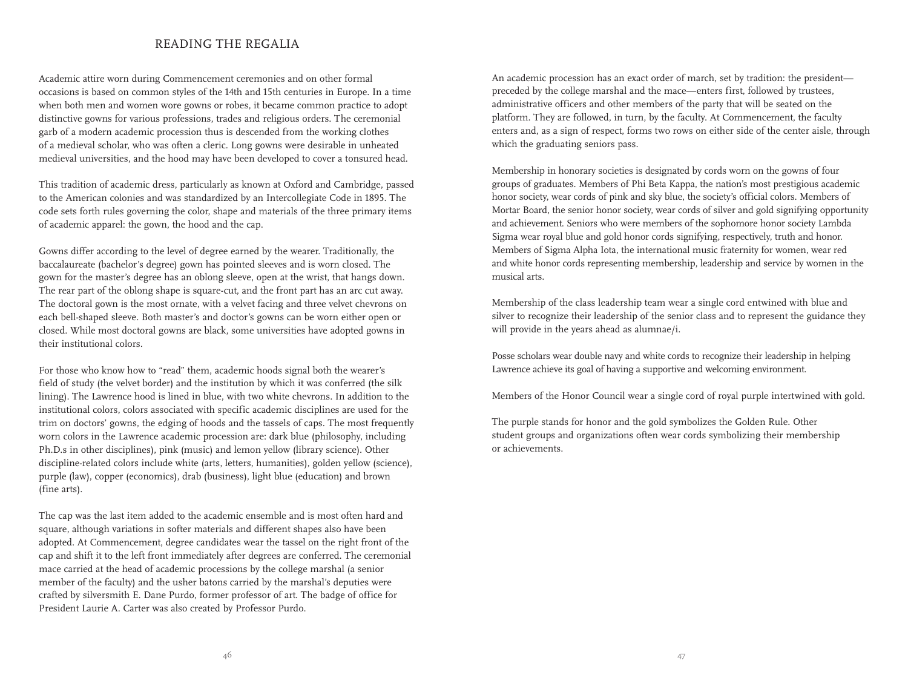#### READING THE REGALIA

Academic attire worn during Commencement ceremonies and on other formal occasions is based on common styles of the 14th and 15th centuries in Europe. In a time when both men and women wore gowns or robes, it became common practice to adopt distinctive gowns for various professions, trades and religious orders. The ceremonial garb of a modern academic procession thus is descended from the working clothes of a medieval scholar, who was often a cleric. Long gowns were desirable in unheated medieval universities, and the hood may have been developed to cover a tonsured head.

This tradition of academic dress, particularly as known at Oxford and Cambridge, passed to the American colonies and was standardized by an Intercollegiate Code in 1895. The code sets forth rules governing the color, shape and materials of the three primary items of academic apparel: the gown, the hood and the cap.

Gowns differ according to the level of degree earned by the wearer. Traditionally, the baccalaureate (bachelor's degree) gown has pointed sleeves and is worn closed. The gown for the master's degree has an oblong sleeve, open at the wrist, that hangs down. The rear part of the oblong shape is square-cut, and the front part has an arc cut away. The doctoral gown is the most ornate, with a velvet facing and three velvet chevrons on each bell-shaped sleeve. Both master's and doctor's gowns can be worn either open or closed. While most doctoral gowns are black, some universities have adopted gowns in their institutional colors.

For those who know how to "read" them, academic hoods signal both the wearer's field of study (the velvet border) and the institution by which it was conferred (the silk lining). The Lawrence hood is lined in blue, with two white chevrons. In addition to the institutional colors, colors associated with specific academic disciplines are used for the trim on doctors' gowns, the edging of hoods and the tassels of caps. The most frequently worn colors in the Lawrence academic procession are: dark blue (philosophy, including Ph.D.s in other disciplines), pink (music) and lemon yellow (library science). Other discipline-related colors include white (arts, letters, humanities), golden yellow (science), purple (law), copper (economics), drab (business), light blue (education) and brown (fine arts).

The cap was the last item added to the academic ensemble and is most often hard and square, although variations in softer materials and different shapes also have been adopted. At Commencement, degree candidates wear the tassel on the right front of the cap and shift it to the left front immediately after degrees are conferred. The ceremonial mace carried at the head of academic processions by the college marshal (a senior member of the faculty) and the usher batons carried by the marshal's deputies were crafted by silversmith E. Dane Purdo, former professor of art. The badge of office for President Laurie A. Carter was also created by Professor Purdo.

An academic procession has an exact order of march, set by tradition: the president preceded by the college marshal and the mace—enters first, followed by trustees, administrative officers and other members of the party that will be seated on the platform. They are followed, in turn, by the faculty. At Commencement, the faculty enters and, as a sign of respect, forms two rows on either side of the center aisle, through which the graduating seniors pass.

Membership in honorary societies is designated by cords worn on the gowns of four groups of graduates. Members of Phi Beta Kappa, the nation's most prestigious academic honor society, wear cords of pink and sky blue, the society's official colors. Members of Mortar Board, the senior honor society, wear cords of silver and gold signifying opportunity and achievement. Seniors who were members of the sophomore honor society Lambda Sigma wear royal blue and gold honor cords signifying, respectively, truth and honor. Members of Sigma Alpha Iota, the international music fraternity for women, wear red and white honor cords representing membership, leadership and service by women in the musical arts.

Membership of the class leadership team wear a single cord entwined with blue and silver to recognize their leadership of the senior class and to represent the guidance they will provide in the years ahead as alumnae/i.

Posse scholars wear double navy and white cords to recognize their leadership in helping Lawrence achieve its goal of having a supportive and welcoming environment.

Members of the Honor Council wear a single cord of royal purple intertwined with gold.

The purple stands for honor and the gold symbolizes the Golden Rule. Other student groups and organizations often wear cords symbolizing their membership or achievements.